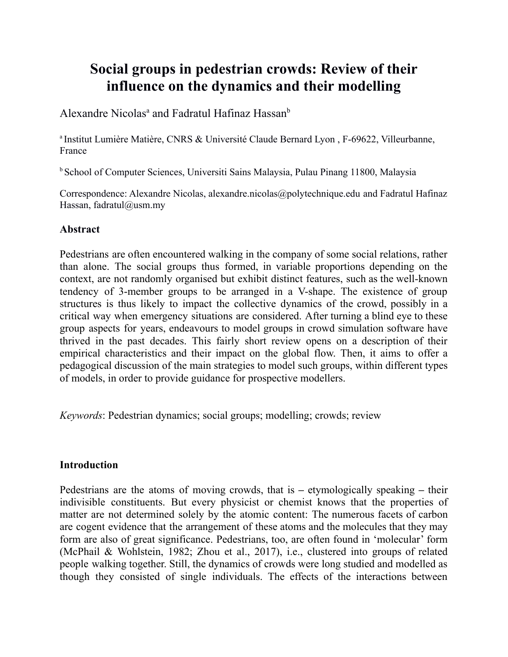# **Social groups in pedestrian crowds: Review of their influence on the dynamics and their modelling**

Alexandre Nicolas<sup>a</sup> and Fadratul Hafinaz Hassan<sup>b</sup>

<sup>a</sup> Institut Lumière Matière, CNRS & Université Claude Bernard Lyon, F-69622, Villeurbanne, France

<sup>b</sup> School of Computer Sciences, Universiti Sains Malaysia, Pulau Pinang 11800, Malaysia

Correspondence: Alexandre Nicolas, alexandre.nicolas@polytechnique.edu and Fadratul Hafinaz Hassan, fadratul@usm.my

## **Abstract**

Pedestrians are often encountered walking in the company of some social relations, rather than alone. The social groups thus formed, in variable proportions depending on the context, are not randomly organised but exhibit distinct features, such as the well-known tendency of 3-member groups to be arranged in a V-shape. The existence of group structures is thus likely to impact the collective dynamics of the crowd, possibly in a critical way when emergency situations are considered. After turning a blind eye to these group aspects for years, endeavours to model groups in crowd simulation software have thrived in the past decades. This fairly short review opens on a description of their empirical characteristics and their impact on the global flow. Then, it aims to offer a pedagogical discussion of the main strategies to model such groups, within different types of models, in order to provide guidance for prospective modellers.

*Keywords*: Pedestrian dynamics; social groups; modelling; crowds; review

### **Introduction**

Pedestrians are the atoms of moving crowds, that is **–** etymologically speaking **–** their indivisible constituents. But every physicist or chemist knows that the properties of matter are not determined solely by the atomic content: The numerous facets of carbon are cogent evidence that the arrangement of these atoms and the molecules that they may form are also of great significance. Pedestrians, too, are often found in 'molecular' form (McPhail & Wohlstein, 1982; Zhou et al., 2017), i.e., clustered into groups of related people walking together. Still, the dynamics of crowds were long studied and modelled as though they consisted of single individuals. The effects of the interactions between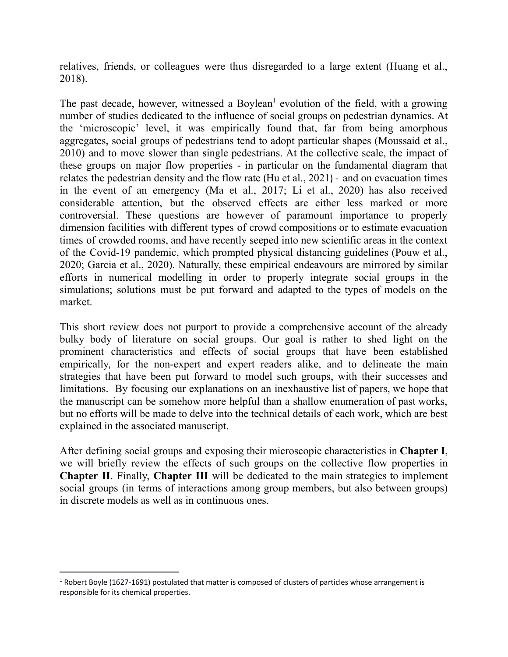relatives, friends, or colleagues were thus disregarded to a large extent (Huang et al., 2018).

The past decade, however, witnessed a Boylean<sup>1</sup> evolution of the field, with a growing number of studies dedicated to the influence of social groups on pedestrian dynamics. At the 'microscopic' level, it was empirically found that, far from being amorphous aggregates, social groups of pedestrians tend to adopt particular shapes (Moussaid et al., 2010) and to move slower than single pedestrians. At the collective scale, the impact of these groups on major flow properties - in particular on the fundamental diagram that relates the pedestrian density and the flow rate (Hu et al., 2021) - and on evacuation times in the event of an emergency (Ma et al., 2017; Li et al., 2020) has also received considerable attention, but the observed effects are either less marked or more controversial. These questions are however of paramount importance to properly dimension facilities with different types of crowd compositions or to estimate evacuation times of crowded rooms, and have recently seeped into new scientific areas in the context of the Covid-19 pandemic, which prompted physical distancing guidelines (Pouw et al., 2020; Garcia et al., 2020). Naturally, these empirical endeavours are mirrored by similar efforts in numerical modelling in order to properly integrate social groups in the simulations; solutions must be put forward and adapted to the types of models on the market.

This short review does not purport to provide a comprehensive account of the already bulky body of literature on social groups. Our goal is rather to shed light on the prominent characteristics and effects of social groups that have been established empirically, for the non-expert and expert readers alike, and to delineate the main strategies that have been put forward to model such groups, with their successes and limitations. By focusing our explanations on an inexhaustive list of papers, we hope that the manuscript can be somehow more helpful than a shallow enumeration of past works, but no efforts will be made to delve into the technical details of each work, which are best explained in the associated manuscript.

After defining social groups and exposing their microscopic characteristics in **Chapter I**, we will briefly review the effects of such groups on the collective flow properties in **Chapter II**. Finally, **Chapter III** will be dedicated to the main strategies to implement social groups (in terms of interactions among group members, but also between groups) in discrete models as well as in continuous ones.

 $1$  Robert Boyle (1627-1691) postulated that matter is composed of clusters of particles whose arrangement is responsible for its chemical properties.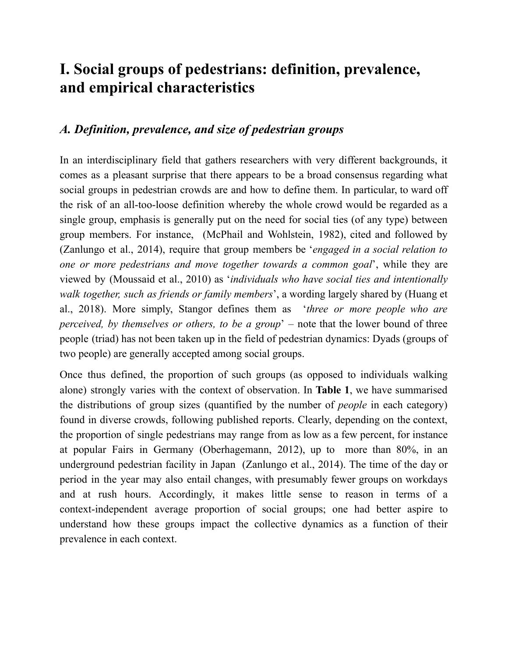# **I. Social groups of pedestrians: definition, prevalence, and empirical characteristics**

## *A. Definition, prevalence, and size of pedestrian groups*

In an interdisciplinary field that gathers researchers with very different backgrounds, it comes as a pleasant surprise that there appears to be a broad consensus regarding what social groups in pedestrian crowds are and how to define them. In particular, to ward off the risk of an all-too-loose definition whereby the whole crowd would be regarded as a single group, emphasis is generally put on the need for social ties (of any type) between group members. For instance, (McPhail and Wohlstein, 1982), cited and followed by (Zanlungo et al., 2014), require that group members be '*engaged in a social relation to one or more pedestrians and move together towards a common goal*', while they are viewed by (Moussaid et al., 2010) as '*individuals who have social ties and intentionally walk together, such as friends or family members*', a wording largely shared by (Huang et al., 2018). More simply, Stangor defines them as '*three or more people who are perceived, by themselves or others, to be a group*' – note that the lower bound of three people (triad) has not been taken up in the field of pedestrian dynamics: Dyads (groups of two people) are generally accepted among social groups.

Once thus defined, the proportion of such groups (as opposed to individuals walking alone) strongly varies with the context of observation. In **Table 1**, we have summarised the distributions of group sizes (quantified by the number of *people* in each category) found in diverse crowds, following published reports. Clearly, depending on the context, the proportion of single pedestrians may range from as low as a few percent, for instance at popular Fairs in Germany (Oberhagemann, 2012), up to more than 80%, in an underground pedestrian facility in Japan (Zanlungo et al., 2014). The time of the day or period in the year may also entail changes, with presumably fewer groups on workdays and at rush hours. Accordingly, it makes little sense to reason in terms of a context-independent average proportion of social groups; one had better aspire to understand how these groups impact the collective dynamics as a function of their prevalence in each context.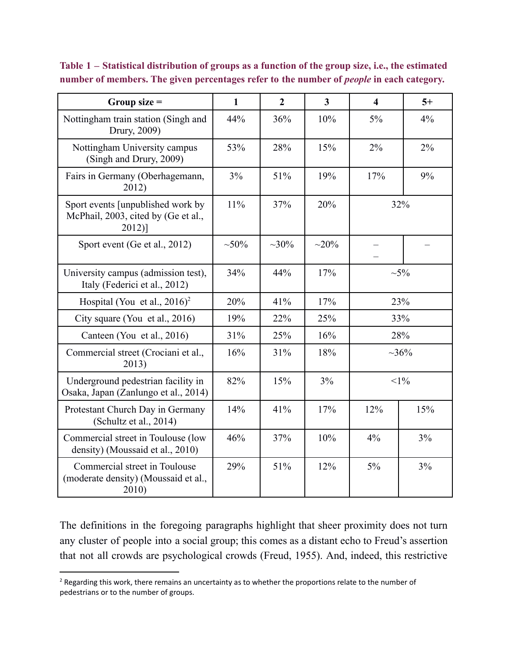| Group size $=$                                                                       | $\mathbf{1}$ | $\overline{2}$ | $\overline{\mathbf{3}}$ | $\overline{\mathbf{4}}$ | $5+$       |
|--------------------------------------------------------------------------------------|--------------|----------------|-------------------------|-------------------------|------------|
| Nottingham train station (Singh and<br>Drury, 2009)                                  | 44%          | 36%            | 10%                     | $5\%$                   | $4\%$      |
| Nottingham University campus<br>(Singh and Drury, 2009)                              | 53%          | 28%            | 15%                     | $2\%$                   | 2%         |
| Fairs in Germany (Oberhagemann,<br>2012)                                             | 3%           | 51%            | 19%                     | 17%                     | 9%         |
| Sport events [unpublished work by<br>McPhail, 2003, cited by (Ge et al.,<br>$2012$ ] | 11%          | 37%            | 20%                     | 32%                     |            |
| Sport event (Ge et al., 2012)                                                        | $~10\%$      | $~10\%$        | $\sim 20\%$             |                         |            |
| University campus (admission test),<br>Italy (Federici et al., 2012)                 | 34%          | 44%            | 17%                     |                         | $\sim 5\%$ |
| Hospital (You et al., $2016$ ) <sup>2</sup>                                          | 20%          | 41%            | 17%                     |                         | 23%        |
| City square (You et al., 2016)                                                       | 19%          | 22%            | 25%                     | 33%                     |            |
| Canteen (You et al., 2016)                                                           | 31%          | 25%            | 16%                     | 28%                     |            |
| Commercial street (Crociani et al.,<br>2013)                                         | 16%          | 31%            | 18%                     | ~100/6                  |            |
| Underground pedestrian facility in<br>Osaka, Japan (Zanlungo et al., 2014)           | 82%          | 15%            | 3%                      | $<1\%$                  |            |
| Protestant Church Day in Germany<br>(Schultz et al., 2014)                           | 14%          | 41%            | 17%                     | 12%                     | 15%        |
| Commercial street in Toulouse (low<br>density) (Moussaid et al., 2010)               | 46%          | 37%            | 10%                     | 4%                      | 3%         |
| Commercial street in Toulouse<br>(moderate density) (Moussaid et al.,<br>2010)       | 29%          | 51%            | 12%                     | $5\%$                   | 3%         |

**Table 1 – Statistical distribution of groups as a function of the group size, i.e., the estimated number of members. The given percentages refer to the number of** *people* **in each category.**

The definitions in the foregoing paragraphs highlight that sheer proximity does not turn any cluster of people into a social group; this comes as a distant echo to Freud's assertion that not all crowds are psychological crowds (Freud, 1955). And, indeed, this restrictive

<sup>&</sup>lt;sup>2</sup> Regarding this work, there remains an uncertainty as to whether the proportions relate to the number of pedestrians or to the number of groups.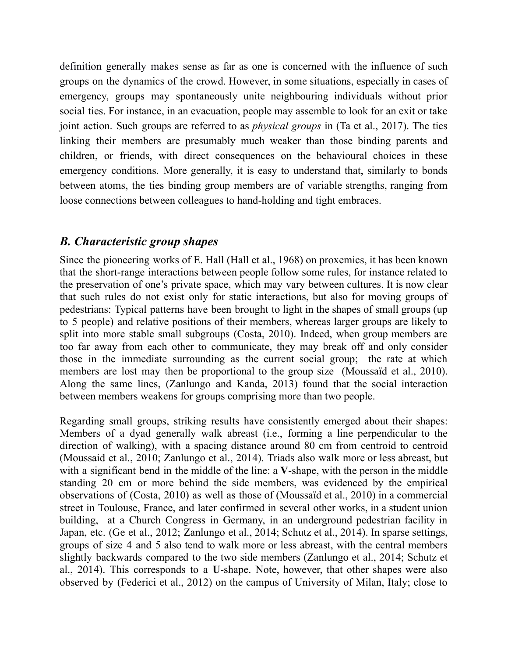definition generally makes sense as far as one is concerned with the influence of such groups on the dynamics of the crowd. However, in some situations, especially in cases of emergency, groups may spontaneously unite neighbouring individuals without prior social ties. For instance, in an evacuation, people may assemble to look for an exit or take joint action. Such groups are referred to as *physical groups* in (Ta et al., 2017). The ties linking their members are presumably much weaker than those binding parents and children, or friends, with direct consequences on the behavioural choices in these emergency conditions. More generally, it is easy to understand that, similarly to bonds between atoms, the ties binding group members are of variable strengths, ranging from loose connections between colleagues to hand-holding and tight embraces.

# *B. Characteristic group shapes*

Since the pioneering works of E. Hall (Hall et al., 1968) on proxemics, it has been known that the short-range interactions between people follow some rules, for instance related to the preservation of one's private space, which may vary between cultures. It is now clear that such rules do not exist only for static interactions, but also for moving groups of pedestrians: Typical patterns have been brought to light in the shapes of small groups (up to 5 people) and relative positions of their members, whereas larger groups are likely to split into more stable small subgroups (Costa, 2010). Indeed, when group members are too far away from each other to communicate, they may break off and only consider those in the immediate surrounding as the current social group; the rate at which members are lost may then be proportional to the group size (Moussaïd et al., 2010). Along the same lines, (Zanlungo and Kanda, 2013) found that the social interaction between members weakens for groups comprising more than two people.

Regarding small groups, striking results have consistently emerged about their shapes: Members of a dyad generally walk abreast (i.e., forming a line perpendicular to the direction of walking), with a spacing distance around 80 cm from centroid to centroid (Moussaid et al., 2010; Zanlungo et al., 2014). Triads also walk more or less abreast, but with a significant bend in the middle of the line: a **V**-shape, with the person in the middle standing 20 cm or more behind the side members, was evidenced by the empirical observations of (Costa, 2010) as well as those of (Moussaïd et al., 2010) in a commercial street in Toulouse, France, and later confirmed in several other works, in a student union building, at a Church Congress in Germany, in an underground pedestrian facility in Japan, etc. (Ge et al., 2012; Zanlungo et al., 2014; Schutz et al., 2014). In sparse settings, groups of size 4 and 5 also tend to walk more or less abreast, with the central members slightly backwards compared to the two side members (Zanlungo et al., 2014; Schutz et al., 2014). This corresponds to a **U**-shape. Note, however, that other shapes were also observed by (Federici et al., 2012) on the campus of University of Milan, Italy; close to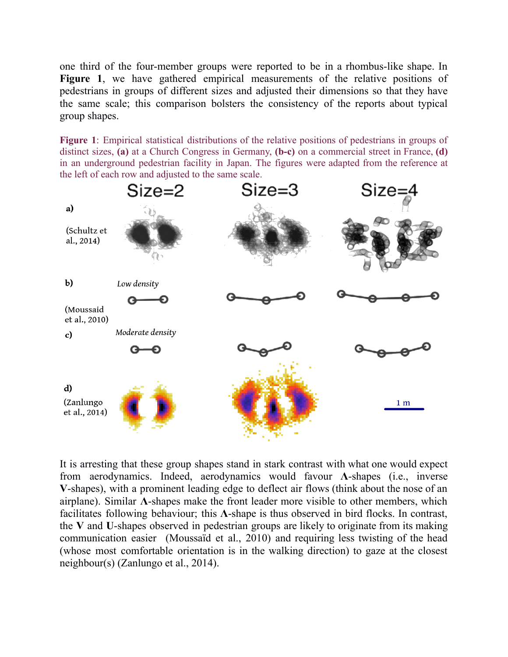one third of the four-member groups were reported to be in a rhombus-like shape. In **Figure 1**, we have gathered empirical measurements of the relative positions of pedestrians in groups of different sizes and adjusted their dimensions so that they have the same scale; this comparison bolsters the consistency of the reports about typical group shapes.

**Figure 1**: Empirical statistical distributions of the relative positions of pedestrians in groups of distinct sizes, **(a)** at a Church Congress in Germany, **(b-c)** on a commercial street in France, **(d)** in an underground pedestrian facility in Japan. The figures were adapted from the reference at the left of each row and adjusted to the same scale.



It is arresting that these group shapes stand in stark contrast with what one would expect from aerodynamics. Indeed, aerodynamics would favour **Λ**-shapes (i.e., inverse **V**-shapes), with a prominent leading edge to deflect air flows (think about the nose of an airplane). Similar **Λ**-shapes make the front leader more visible to other members, which facilitates following behaviour; this **Λ**-shape is thus observed in bird flocks. In contrast, the **V** and **U**-shapes observed in pedestrian groups are likely to originate from its making communication easier (Moussaïd et al., 2010) and requiring less twisting of the head (whose most comfortable orientation is in the walking direction) to gaze at the closest neighbour(s) (Zanlungo et al., 2014).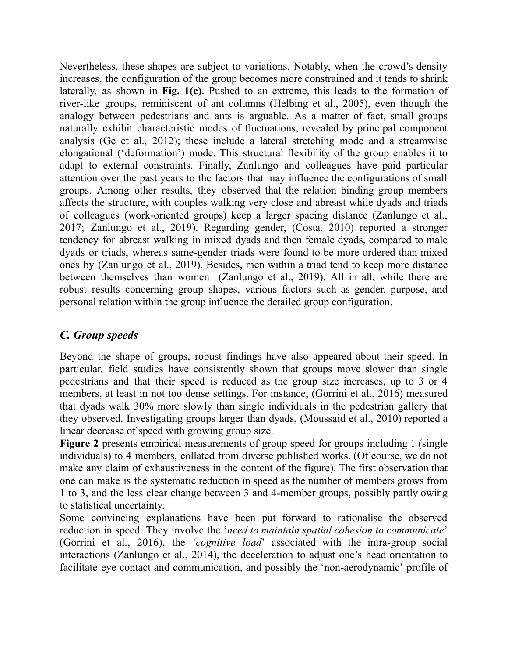Nevertheless, these shapes are subject to variations. Notably, when the crowd's density increases, the configuration of the group becomes more constrained and it tends to shrink laterally, as shown in **Fig. 1(c)**. Pushed to an extreme, this leads to the formation of river-like groups, reminiscent of ant columns (Helbing et al., 2005), even though the analogy between pedestrians and ants is arguable. As a matter of fact, small groups naturally exhibit characteristic modes of fluctuations, revealed by principal component analysis (Ge et al., 2012); these include a lateral stretching mode and a streamwise elongational ('deformation') mode. This structural flexibility of the group enables it to adapt to external constraints. Finally, Zanlungo and colleagues have paid particular attention over the past years to the factors that may influence the configurations of small groups. Among other results, they observed that the relation binding group members affects the structure, with couples walking very close and abreast while dyads and triads of colleagues (work-oriented groups) keep a larger spacing distance (Zanlungo et al., 2017; Zanlungo et al., 2019). Regarding gender, (Costa, 2010) reported a stronger tendency for abreast walking in mixed dyads and then female dyads, compared to male dyads or triads, whereas same-gender triads were found to be more ordered than mixed ones by (Zanlungo et al., 2019). Besides, men within a triad tend to keep more distance between themselves than women (Zanlungo et al., 2019). All in all, while there are robust results concerning group shapes, various factors such as gender, purpose, and personal relation within the group influence the detailed group configuration.

## *C. Group speeds*

Beyond the shape of groups, robust findings have also appeared about their speed. In particular, field studies have consistently shown that groups move slower than single pedestrians and that their speed is reduced as the group size increases, up to 3 or 4 members, at least in not too dense settings. For instance, (Gorrini et al., 2016) measured that dyads walk 30% more slowly than single individuals in the pedestrian gallery that they observed. Investigating groups larger than dyads, (Moussaid et al., 2010) reported a linear decrease of speed with growing group size.

**Figure 2** presents empirical measurements of group speed for groups including 1 (single individuals) to 4 members, collated from diverse published works. (Of course, we do not make any claim of exhaustiveness in the content of the figure). The first observation that one can make is the systematic reduction in speed as the number of members grows from 1 to 3, and the less clear change between 3 and 4-member groups, possibly partly owing to statistical uncertainty.

Some convincing explanations have been put forward to rationalise the observed reduction in speed. They involve the '*need to maintain spatial cohesion to communicate*' (Gorrini et al., 2016), the *'cognitive load*' associated with the intra-group social interactions (Zanlungo et al., 2014), the deceleration to adjust one's head orientation to facilitate eye contact and communication, and possibly the 'non-aerodynamic' profile of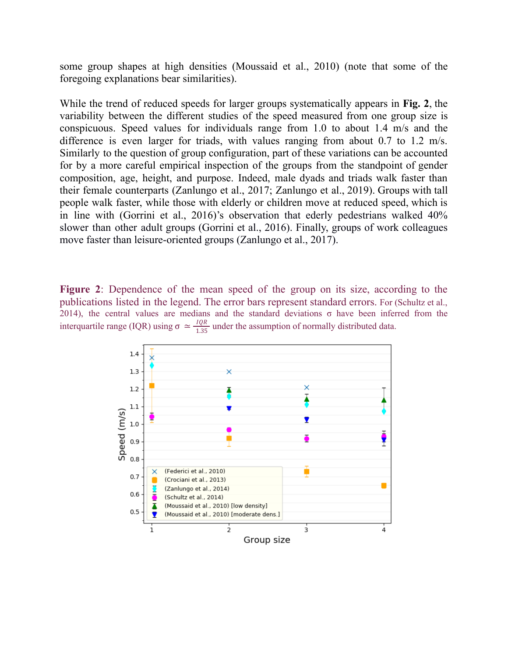some group shapes at high densities (Moussaid et al., 2010) (note that some of the foregoing explanations bear similarities).

While the trend of reduced speeds for larger groups systematically appears in **Fig. 2**, the variability between the different studies of the speed measured from one group size is conspicuous. Speed values for individuals range from 1.0 to about 1.4 m/s and the difference is even larger for triads, with values ranging from about 0.7 to 1.2 m/s. Similarly to the question of group configuration, part of these variations can be accounted for by a more careful empirical inspection of the groups from the standpoint of gender composition, age, height, and purpose. Indeed, male dyads and triads walk faster than their female counterparts (Zanlungo et al., 2017; Zanlungo et al., 2019). Groups with tall people walk faster, while those with elderly or children move at reduced speed, which is in line with (Gorrini et al., 2016)'s observation that ederly pedestrians walked 40% slower than other adult groups (Gorrini et al., 2016). Finally, groups of work colleagues move faster than leisure-oriented groups (Zanlungo et al., 2017).

**Figure 2**: Dependence of the mean speed of the group on its size, according to the publications listed in the legend. The error bars represent standard errors. For (Schultz et al., 2014), the central values are medians and the standard deviations  $\sigma$  have been inferred from the interquartile range (IQR) using  $\sigma \simeq \frac{lQR}{1.25}$  under the assumption of normally distributed data. 1.35

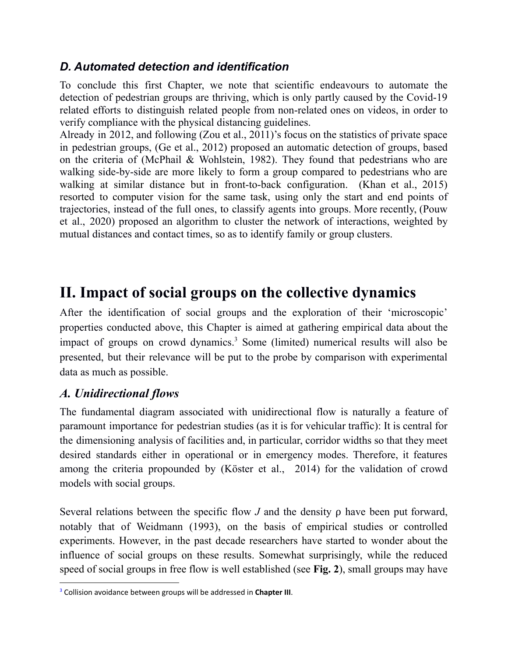# *D. Automated detection and identification*

To conclude this first Chapter, we note that scientific endeavours to automate the detection of pedestrian groups are thriving, which is only partly caused by the Covid-19 related efforts to distinguish related people from non-related ones on videos, in order to verify compliance with the physical distancing guidelines.

Already in 2012, and following (Zou et al., 2011)'s focus on the statistics of private space in pedestrian groups, (Ge et al., 2012) proposed an automatic detection of groups, based on the criteria of (McPhail & Wohlstein, 1982). They found that pedestrians who are walking side-by-side are more likely to form a group compared to pedestrians who are walking at similar distance but in front-to-back configuratio[n.](#page-32-0) (Khan et al., 2015) resorted to computer vision for the same task, using only the start and end points of trajectories, instead of the full ones, to classify agents into groups. More recently, (Pouw et al., 2020) proposed an algorithm to cluster the network of interactions, weighted by mutual distances and contact times, so as to identify family or group clusters.

# **II. Impact of social groups on the collective dynamics**

After the identification of social groups and the exploration of their 'microscopic' properties conducted above, this Chapter is aimed at gathering empirical data about the impact of groups on crowd dynamics. <sup>3</sup> Some (limited) numerical results will also be presented, but their relevance will be put to the probe by comparison with experimental data as much as possible.

# *A. Unidirectional flows*

The fundamental diagram associated with unidirectional flow is naturally a feature of paramount importance for pedestrian studies (as it is for vehicular traffic): It is central for the dimensioning analysis of facilities and, in particular, corridor widths so that they meet desired standards either in operational or in emergency modes. Therefore, it features among the criteria propounded by (Köster et al., 2014) for the validation of crowd models with social groups.

Several relations between the specific flow *J* and the density ρ have been put forward, notably that of Weidmann (1993), on the basis of empirical studies or controlled experiments. However, in the past decade researchers have started to wonder about the influence of social groups on these results. Somewhat surprisingly, while the reduced speed of social groups in free flow is well established (see **Fig. 2**), small groups may have

<sup>3</sup> Collision avoidance between groups will be addressed in **Chapter III**.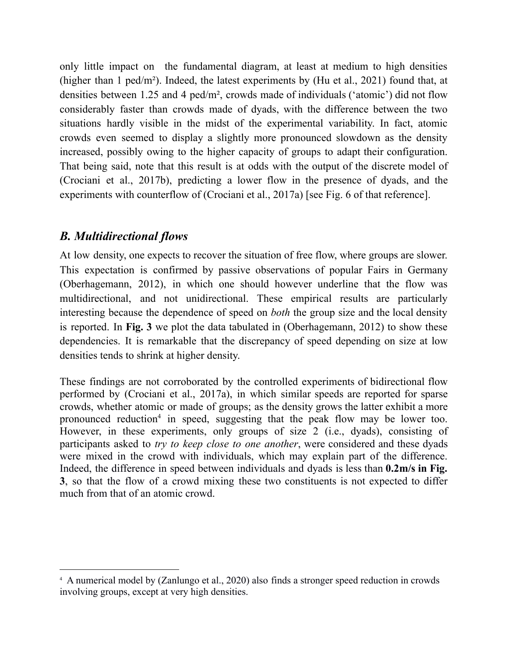only little impact on the fundamental diagram, at least at medium to high densities (higher than 1 ped/m²). Indeed, the latest experiments by (Hu et al., 2021) found that, at densities between 1.25 and 4 ped/m², crowds made of individuals ('atomic') did not flow considerably faster than crowds made of dyads, with the difference between the two situations hardly visible in the midst of the experimental variability. In fact, atomic crowds even seemed to display a slightly more pronounced slowdown as the density increased, possibly owing to the higher capacity of groups to adapt their configuration. That being said, note that this result is at odds with the output of the discrete model of (Crociani et al., 2017b), predicting a lower flow in the presence of dyads, and the experiments with counterflow of (Crociani et al., 2017a) [see Fig. 6 of that reference].

# *B. Multidirectional flows*

At low density, one expects to recover the situation of free flow, where groups are slower. This expectation is confirmed by passive observations of popular Fairs in Germany (Oberhagemann, 2012), in which one should however underline that the flow was multidirectional, and not unidirectional. These empirical results are particularly interesting because the dependence of speed on *both* the group size and the local density is reported. In **Fig. 3** we plot the data tabulated in (Oberhagemann, 2012) to show these dependencies. It is remarkable that the discrepancy of speed depending on size at low densities tends to shrink at higher density.

These findings are not corroborated by the controlled experiments of bidirectional flow performed by (Crociani et al., 2017a), in which similar speeds are reported for sparse crowds, whether atomic or made of groups; as the density grows the latter exhibit a more pronounced reduction 4 in speed, suggesting that the peak flow may be lower too. However, in these experiments, only groups of size 2 (i.e., dyads), consisting of participants asked to *try to keep close to one another*, were considered and these dyads were mixed in the crowd with individuals, which may explain part of the difference. Indeed, the difference in speed between individuals and dyads is less than **0.2m/s in Fig. 3**, so that the flow of a crowd mixing these two constituents is not expected to differ much from that of an atomic crowd.

<sup>4</sup> A numerical model by (Zanlungo et al., 2020) also finds a stronger speed reduction in crowds involving groups, except at very high densities.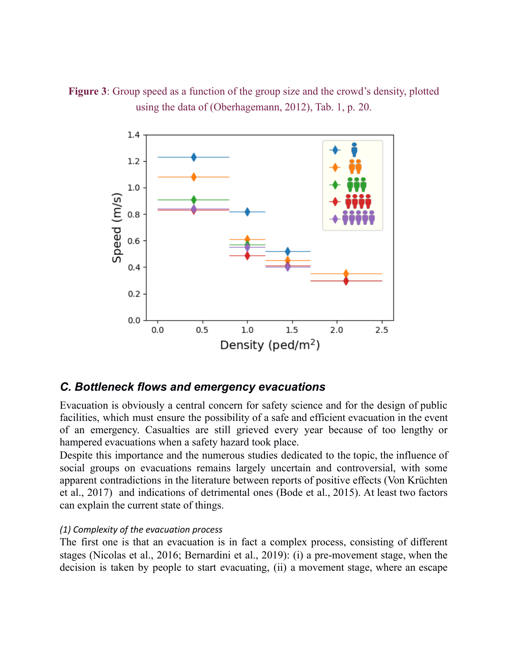



## *C. Bottleneck flows and emergency evacuations*

Evacuation is obviously a central concern for safety science and for the design of public facilities, which must ensure the possibility of a safe and efficient evacuation in the event of an emergency. Casualties are still grieved every year because of too lengthy or hampered evacuations when a safety hazard took place.

Despite this importance and the numerous studies dedicated to the topic, the influence of social groups on evacuations remains largely uncertain and controversial, with some apparent contradictions in the literature between reports of positive effects (Von Krüchten et al., 2017) and indications of detrimental ones (Bode et al., 2015). At least two factors can explain the current state of things.

#### *(1) Complexity of the evacuation process*

The first one is that an evacuation is in fact a complex process, consisting of different stages (Nicolas et al., 2016; Bernardini et al., 2019): (i) a pre-movement stage, when the decision is taken by people to start evacuating, (ii) a movement stage, where an escape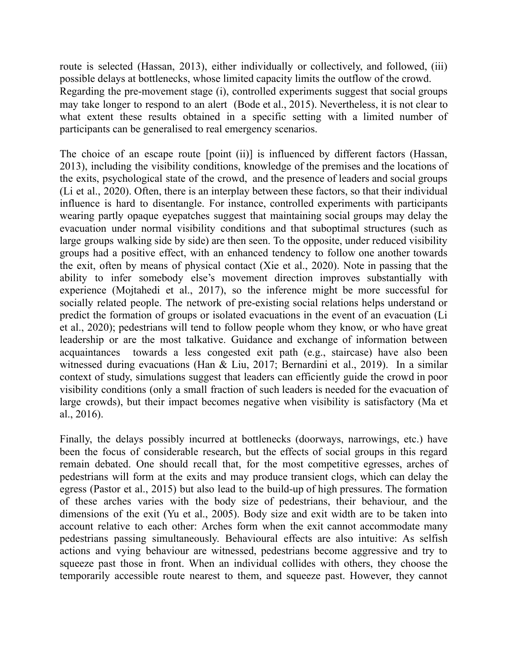route is selected (Hassan, 2013), either individually or collectively, and followed, (iii) possible delays at bottlenecks, whose limited capacity limits the outflow of the crowd. Regarding the pre-movement stage (i), controlled experiments suggest that social groups may take longer to respond to an alert (Bode et al., 2015). Nevertheless, it is not clear to what extent these results obtained in a specific setting with a limited number of participants can be generalised to real emergency scenarios.

The choice of an escape route [point (ii)] is influenced by different factors (Hassan, 2013), including the visibility conditions, knowledge of the premises and the locations of the exits, psychological state of the crowd, and the presence of leaders and social groups (Li et al., 2020). Often, there is an interplay between these factors, so that their individual influence is hard to disentangle. For instance, controlled experiments with participants wearing partly opaque eyepatches suggest that maintaining social groups may delay the evacuation under normal visibility conditions and that suboptimal structures (such as large groups walking side by side) are then seen. To the opposite, under reduced visibility groups had a positive effect, with an enhanced tendency to follow one another towards the exit, often by means of physical contact (Xie et al., 2020). Note in passing that the ability to infer somebody else's movement direction improves substantially with experience (Mojtahedi et al., 2017), so the inference might be more successful for socially related people. The network of pre-existing social relations helps understand or predict the formation of groups or isolated evacuations in the event of an evacuation (Li et al., 2020); pedestrians will tend to follow people whom they know, or who have great leadership or are the most talkative. Guidance and exchange of information between acquaintances towards a less congested exit path (e.g., staircase) have also been witnessed during evacuations (Han & Liu, 2017; Bernardini et al., 2019). In a similar context of study, simulations suggest that leaders can efficiently guide the crowd in poor visibility conditions (only a small fraction of such leaders is needed for the evacuation of large crowds), but their impact becomes negative when visibility is satisfactory (Ma et al., 2016).

Finally, the delays possibly incurred at bottlenecks (doorways, narrowings, etc.) have been the focus of considerable research, but the effects of social groups in this regard remain debated. One should recall that, for the most competitive egresses, arches of pedestrians will form at the exits and may produce transient clogs, which can delay the egress (Pastor et al., 2015) but also lead to the build-up of high pressures. The formation of these arches varies with the body size of pedestrians, their behaviour, and the dimensions of the exit (Yu et al., 2005). Body size and exit width are to be taken into account relative to each other: Arches form when the exit cannot accommodate many pedestrians passing simultaneously. Behavioural effects are also intuitive: As selfish actions and vying behaviour are witnessed, pedestrians become aggressive and try to squeeze past those in front. When an individual collides with others, they choose the temporarily accessible route nearest to them, and squeeze past. However, they cannot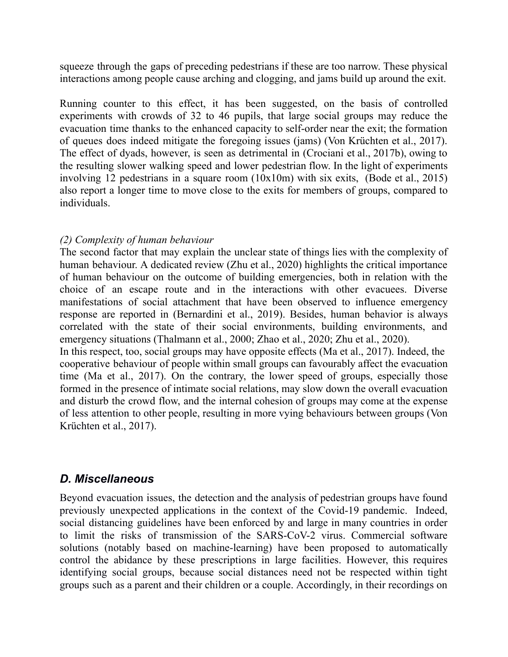squeeze through the gaps of preceding pedestrians if these are too narrow. These physical interactions among people cause arching and clogging, and jams build up around the exit.

Running counter to this effect, it has been suggested, on the basis of controlled experiments with crowds of 32 to 46 pupils, that large social groups may reduce the evacuation time thanks to the enhanced capacity to self-order near the exit; the formation of queues does indeed mitigate the foregoing issues (jams) (Von Krüchten et al., 2017). The effect of dyads, however, is seen as detrimental in (Crociani et al., 2017b), owing to the resulting slower walking speed and lower pedestrian flow. In the light of experiments involving 12 pedestrians in a square room (10x10m) with six exits, (Bode et al., 2015) also report a longer time to move close to the exits for members of groups, compared to individuals.

### *(2) Complexity of human behaviour*

The second factor that may explain the unclear state of things lies with the complexity of human behaviour. A dedicated review (Zhu et al., 2020) highlights the critical importance of human behaviour on the outcome of building emergencies, both in relation with the choice of an escape route and in the interactions with other evacuees. Diverse manifestations of social attachment that have been observed to influence emergency response are reported in (Bernardini et al., 2019). Besides, human [behavior](#page-29-0) is always correlated with the state of their social [environments,](#page-29-0) building environments, and [emergency](#page-29-0) situations (Thalmann et al., 2000; Zhao et al., 2020; Zhu et al., 2020)[.](#page-32-1) In this respect, too, social groups may have opposite effects (Ma et al., 2017). Indeed, the cooperative behaviour of people within small groups can favourably affect the evacuation time (Ma et al., 2017). On the contrary, the lower speed of groups, especially those formed in the presence of intimate social relations, may slow down the overall evacuation and disturb the crowd flow, and the internal cohesion of groups may come at the expense of less attention to other people, resulting in more vying behaviours between groups (Von Krüchten et al., 2017).

# *D. Miscellaneous*

Beyond evacuation issues, the detection and the analysis of pedestrian groups have found previously unexpected applications in the context of the Covid-19 pandemic. Indeed, social distancing guidelines have been enforced by and large in many countries in order to limit the risks of transmission of the SARS-CoV-2 virus. Commercial software solutions (notably based on machine-learning) have been proposed to automatically control the abidance by these prescriptions in large facilities. However, this requires identifying social groups, because social distances need not be respected within tight groups such as a parent and their children or a couple. Accordingly, in their recordings on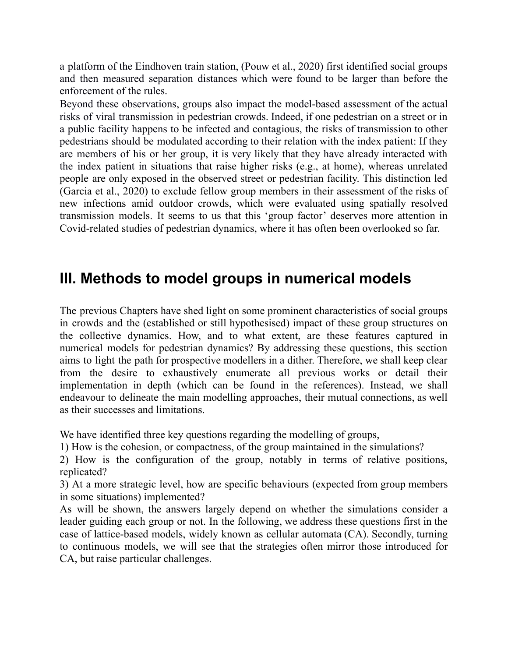a platform of the Eindhoven train station, (Pouw et al., 2020) first identified social groups and then measured separation distances which were found to be larger than before the enforcement of the rules.

Beyond these observations, groups also impact the model-based assessment of the actual risks of viral transmission in pedestrian crowds. Indeed, if one pedestrian on a street or in a public facility happens to be infected and contagious, the risks of transmission to other pedestrians should be modulated according to their relation with the index patient: If they are members of his or her group, it is very likely that they have already interacted with the index patient in situations that raise higher risks (e.g., at home), whereas unrelated people are only exposed in the observed street or pedestrian facility. This distinction led (Garcia et al., 2020) to exclude fellow group members in their assessment of the risks of new infections amid outdoor crowds, which were evaluated using spatially resolved transmission models. It seems to us that this 'group factor' deserves more attention in Covid-related studies of pedestrian dynamics, where it has often been overlooked so far.

# **III. Methods to model groups in numerical models**

The previous Chapters have shed light on some prominent characteristics of social groups in crowds and the (established or still hypothesised) impact of these group structures on the collective dynamics. How, and to what extent, are these features captured in numerical models for pedestrian dynamics? By addressing these questions, this section aims to light the path for prospective modellers in a dither. Therefore, we shall keep clear from the desire to exhaustively enumerate all previous works or detail their implementation in depth (which can be found in the references). Instead, we shall endeavour to delineate the main modelling approaches, their mutual connections, as well as their successes and limitations.

We have identified three key questions regarding the modelling of groups,

1) How is the cohesion, or compactness, of the group maintained in the simulations?

2) How is the configuration of the group, notably in terms of relative positions, replicated?

3) At a more strategic level, how are specific behaviours (expected from group members in some situations) implemented?

As will be shown, the answers largely depend on whether the simulations consider a leader guiding each group or not. In the following, we address these questions first in the case of lattice-based models, widely known as cellular automata (CA). Secondly, turning to continuous models, we will see that the strategies often mirror those introduced for CA, but raise particular challenges.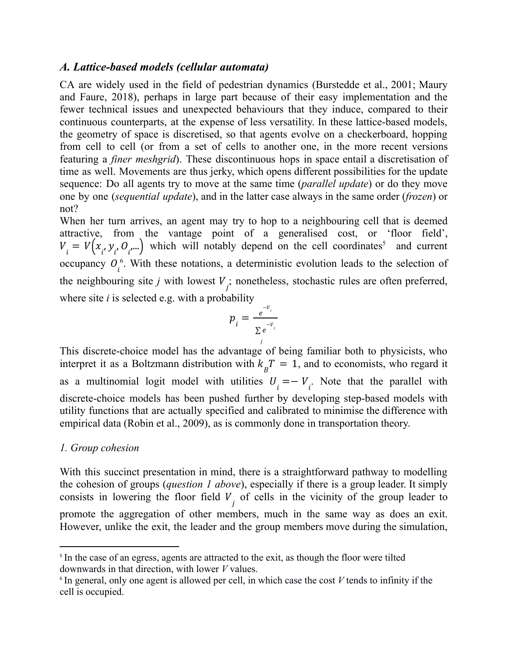### *A. Lattice-based models (cellular automata)*

CA are widely used in the field of pedestrian dynamics (Burstedde et al., 2001; Maury and Faure, 2018), perhaps in large part because of their easy implementation and the fewer technical issues and unexpected behaviours that they induce, compared to their continuous counterparts, at the expense of less versatility. In these lattice-based models, the geometry of space is discretised, so that agents evolve on a checkerboard, hopping from cell to cell (or from a set of cells to another one, in the more recent versions featuring a *finer meshgrid*). These discontinuous hops in space entail a discretisation of time as well. Movements are thus jerky, which opens different possibilities for the update sequence: Do all agents try to move at the same time (*parallel update*) or do they move one by one (*sequential update*), and in the latter case always in the same order (*frozen*) or not?

When her turn arrives, an agent may try to hop to a neighbouring cell that is deemed attractive, from the vantage point of a generalised cost, or 'floor field',  $V_i = V(x_i, y_i, O_i, ...)$  which will notably depend on the cell coordinates<sup>5</sup> and current occupancy  $O_i^6$ . With these notations, a deterministic evolution leads to the selection of the neighbouring site *j* with lowest  $V_j$ ; nonetheless, stochastic rules are often preferred, where site *i* is selected e.g. with a probability

$$
p_{i} = \frac{e^{-v_{i}}}{\sum_{j} e^{-v_{j}}}
$$

This discrete-choice model has the advantage of being familiar both to physicists, who interpret it as a Boltzmann distribution with  $k_{B}T = 1$ , and to economists, who regard it as a multinomial logit model with utilities  $U_i = -V_i$ . Note that the parallel with discrete-choice models has been pushed further by developing step-based models with utility functions that are actually specified and calibrated to minimise the difference with empirical data (Robin et al., 2009), as is commonly done in transportation theory.

### *1. Group cohesion*

With this succinct presentation in mind, there is a straightforward pathway to modelling the cohesion of groups (*question 1 above*), especially if there is a group leader. It simply consists in lowering the floor field  $V<sub>j</sub>$  of cells in the vicinity of the group leader to promote the aggregation of other members, much in the same way as does an exit. However, unlike the exit, the leader and the group members move during the simulation,

<sup>&</sup>lt;sup>5</sup> In the case of an egress, agents are attracted to the exit, as though the floor were tilted downwards in that direction, with lower *V* values.

<sup>6</sup> In general, only one agent is allowed per cell, in which case the cost *V* tends to infinity if the cell is occupied.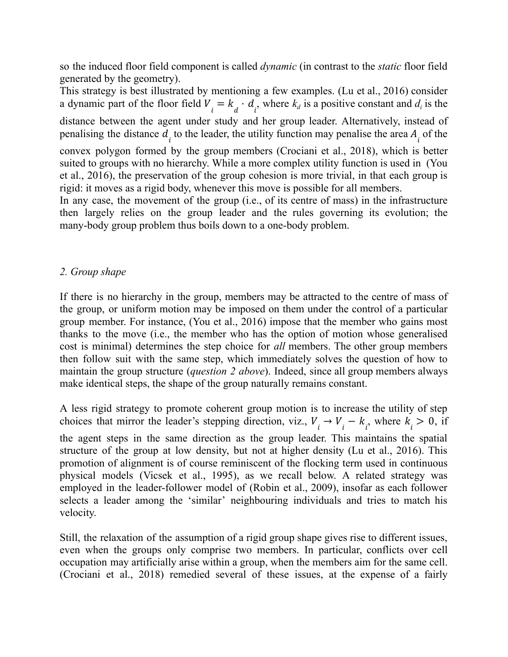so the induced floor field component is called *dynamic* (in contrast to the *static* floor field generated by the geometry).

This strategy is best illustrated by mentioning a few examples. (Lu et al., 2016) consider a dynamic part of the floor field  $V_i = k_d \cdot d_i$ , where  $k_d$  is a positive constant and  $d_i$  is the distance between the agent under study and her group leader. Alternatively, instead of penalising the distance  $d_i$  to the leader, the utility function may penalise the area  $A_i$  of the convex polygon formed by the group members (Crociani et al., 2018), which is better suited to groups with no hierarchy. While a more complex utility function is used in (You et al., 2016), the preservation of the group cohesion is more trivial, in that each group is rigid: it moves as a rigid body, whenever this move is possible for all members.

In any case, the movement of the group (i.e., of its centre of mass) in the infrastructure then largely relies on the group leader and the rules governing its evolution; the many-body group problem thus boils down to a one-body problem.

### *2. Group shape*

If there is no hierarchy in the group, members may be attracted to the centre of mass of the group, or uniform motion may be imposed on them under the control of a particular group member. For instance, (You et al., 2016) impose that the member who gains most thanks to the move (i.e., the member who has the option of motion whose generalised cost is minimal) determines the step choice for *all* members. The other group members then follow suit with the same step, which immediately solves the question of how to maintain the group structure (*question 2 above*). Indeed, since all group members always make identical steps, the shape of the group naturally remains constant.

A less rigid strategy to promote coherent group motion is to increase the utility of step choices that mirror the leader's stepping direction, viz.,  $V_i \rightarrow V_i - k_i$ , where  $k_i > 0$ , if the agent steps in the same direction as the group leader. This maintains the spatial structure of the group at low density, but not at higher density (Lu et al., 2016). This promotion of alignment is of course reminiscent of the flocking term used in continuous physical models (Vicsek et al., 1995), as we recall below. A related strategy was employed in the leader-follower model of (Robin et al., 2009), insofar as each follower selects a leader among the 'similar' neighbouring individuals and tries to match his velocity.

Still, the relaxation of the assumption of a rigid group shape gives rise to different issues, even when the groups only comprise two members. In particular, conflicts over cell occupation may artificially arise within a group, when the members aim for the same cell. (Crociani et al., 2018) remedied several of these issues, at the expense of a fairly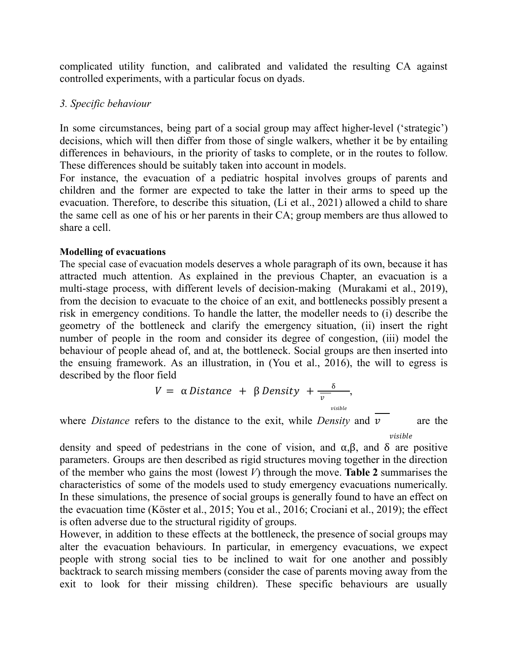complicated utility function, and calibrated and validated the resulting CA against controlled experiments, with a particular focus on dyads.

### *3. Specific behaviour*

In some circumstances, being part of a social group may affect higher-level ('strategic') decisions, which will then differ from those of single walkers, whether it be by entailing differences in behaviours, in the priority of tasks to complete, or in the routes to follow. These differences should be suitably taken into account in models.

For instance, the evacuation of a pediatric hospital involves groups of parents and children and the former are expected to take the latter in their arms to speed up the evacuation. Therefore, to describe this situation, (Li et al., 2021) allowed a child to share the same cell as one of his or her parents in their CA; group members are thus allowed to share a cell.

#### **Modelling of evacuations**

The special case of evacuation models deserves a whole paragraph of its own, because it has attracted much attention. As explained in the previous Chapter, an evacuation is a multi-stage process, with different levels of decision-making (Murakami et al., 2019), from the decision to evacuate to the choice of an exit, and bottlenecks possibly present a risk in emergency conditions. To handle the latter, the modeller needs to (i) describe the geometry of the bottleneck and clarify the emergency situation, (ii) insert the right number of people in the room and consider its degree of congestion, (iii) model the behaviour of people ahead of, and at, the bottleneck. Social groups are then inserted into the ensuing framework. As an illustration, in (You et al., 2016), the will to egress is described by the floor field

$$
V = \alpha \text{ Distance} + \beta \text{ Density} + \frac{\delta}{v},
$$
<sub>visible</sub>

where *Distance* refers to the distance to the exit, while *Density* and  $\nu$  are the

 $visible$ 

density and speed of pedestrians in the cone of vision, and  $\alpha, \beta$ , and  $\delta$  are positive parameters. Groups are then described as rigid structures moving together in the direction of the member who gains the most (lowest *V*) through the move. **Table 2** summarises the characteristics of some of the models used to study emergency evacuations numerically. In these simulations, the presence of social groups is generally found to have an effect on the evacuation time (Köster et al., 2015; You et al., 2016; Crociani et al., 2019); the effect is often adverse due to the structural rigidity of groups.

However, in addition to these effects at the bottleneck, the presence of social groups may alter the evacuation behaviours. In particular, in emergency evacuations, we expect people with strong social ties to be inclined to wait for one another and possibly backtrack to search missing members (consider the case of parents moving away from the exit to look for their missing children). These specific behaviours are usually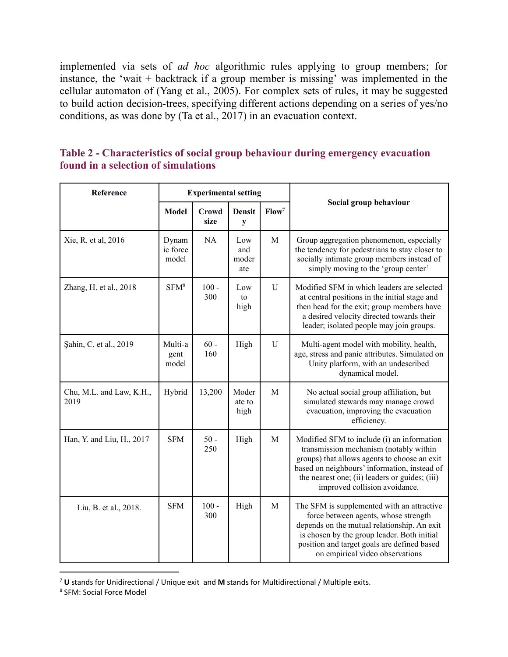implemented via sets of *ad hoc* algorithmic rules applying to group members; for instance, the 'wait + backtrack if a group member is missing' was implemented in the cellular automaton of (Yang et al., 2005). For complex sets of rules, it may be suggested to build action decision-trees, specifying different actions depending on a series of yes/no conditions, as was done by (Ta et al., 2017) in an evacuation context.

| Reference                        |                            | <b>Experimental setting</b> |                            |                   |                                                                                                                                                                                                                                                                         |  |
|----------------------------------|----------------------------|-----------------------------|----------------------------|-------------------|-------------------------------------------------------------------------------------------------------------------------------------------------------------------------------------------------------------------------------------------------------------------------|--|
|                                  | <b>Model</b>               | Crowd<br>size               | <b>Densit</b><br>y         | Flow <sup>7</sup> | Social group behaviour                                                                                                                                                                                                                                                  |  |
| Xie, R. et al, 2016              | Dynam<br>ic force<br>model | NA                          | Low<br>and<br>moder<br>ate | M                 | Group aggregation phenomenon, especially<br>the tendency for pedestrians to stay closer to<br>socially intimate group members instead of<br>simply moving to the 'group center'                                                                                         |  |
| Zhang, H. et al., 2018           | SFM <sup>8</sup>           | $100 -$<br>300              | Low<br>to<br>high          | U                 | Modified SFM in which leaders are selected<br>at central positions in the initial stage and<br>then head for the exit; group members have<br>a desired velocity directed towards their<br>leader; isolated people may join groups.                                      |  |
| Sahin, C. et al., 2019           | Multi-a<br>gent<br>model   | $60 -$<br>160               | High                       | ${\bf U}$         | Multi-agent model with mobility, health,<br>age, stress and panic attributes. Simulated on<br>Unity platform, with an undescribed<br>dynamical model.                                                                                                                   |  |
| Chu, M.L. and Law, K.H.,<br>2019 | Hybrid                     | 13,200                      | Moder<br>ate to<br>high    | M                 | No actual social group affiliation, but<br>simulated stewards may manage crowd<br>evacuation, improving the evacuation<br>efficiency.                                                                                                                                   |  |
| Han, Y. and Liu, H., 2017        | <b>SFM</b>                 | $50 -$<br>250               | High                       | M                 | Modified SFM to include (i) an information<br>transmission mechanism (notably within<br>groups) that allows agents to choose an exit<br>based on neighbours' information, instead of<br>the nearest one; (ii) leaders or guides; (iii)<br>improved collision avoidance. |  |
| Liu, B. et al., 2018.            | <b>SFM</b>                 | $100 -$<br>300              | High                       | M                 | The SFM is supplemented with an attractive<br>force between agents, whose strength<br>depends on the mutual relationship. An exit<br>is chosen by the group leader. Both initial<br>position and target goals are defined based<br>on empirical video observations      |  |

**Table 2 - Characteristics of social group behaviour during emergency evacuation found in a selection of simulations**

<sup>7</sup> **U** stands for Unidirectional / Unique exit and **M** stands for Multidirectional / Multiple exits.

<sup>8</sup> SFM: Social Force Model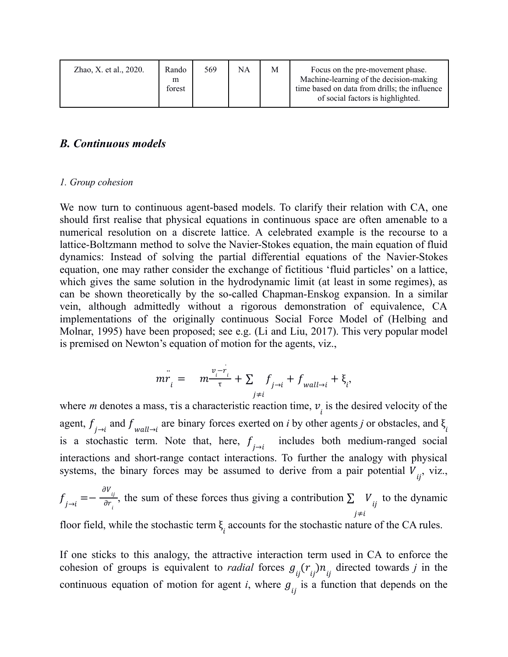| Zhao, X. et al., 2020. | Rando<br>m<br>forest | 569 | NA | М | Focus on the pre-movement phase.<br>Machine-learning of the decision-making<br>time based on data from drills; the influence<br>of social factors is highlighted. |
|------------------------|----------------------|-----|----|---|-------------------------------------------------------------------------------------------------------------------------------------------------------------------|
|------------------------|----------------------|-----|----|---|-------------------------------------------------------------------------------------------------------------------------------------------------------------------|

### *B. Continuous models*

#### *1. Group cohesion*

We now turn to continuous agent-based models. To clarify their relation with CA, one should first realise that physical equations in continuous space are often amenable to a numerical resolution on a discrete lattice. A celebrated example is the recourse to a lattice-Boltzmann method to solve the Navier-Stokes equation, the main equation of fluid dynamics: Instead of solving the partial differential equations of the Navier-Stokes equation, one may rather consider the exchange of fictitious 'fluid particles' on a lattice, which gives the same solution in the hydrodynamic limit (at least in some regimes), as can be shown theoretically by the so-called Chapman-Enskog expansion. In a similar vein, although admittedly without a rigorous demonstration of equivalence, CA implementations of the originally continuous Social Force Model of (Helbing and Molnar, 1995) have been proposed; see e.g. (Li and Liu, 2017). This very popular model is premised on Newton's equation of motion for the agents, viz.,

$$
m\ddot{r_i} = m\frac{v_i - \dot{r_i}}{\tau} + \sum_{j \neq i} f_{j \to i} + f_{wall \to i} + \xi_i,
$$

where *m* denotes a mass, tis a characteristic reaction time,  $v_i$  is the desired velocity of the agent,  $f_{j\to i}$  and  $f_{wall\to i}$  are binary forces exerted on *i* by other agents *j* or obstacles, and  $\xi_i$ is a stochastic term. Note that, here,  $f_{j \to i}$  includes both medium-ranged social interactions and short-range contact interactions. To further the analogy with physical systems, the binary forces may be assumed to derive from a pair potential  $V_{ij}$ , viz.,

$$
f_{j \to i} = -\frac{\partial V_{ij}}{\partial r_i}
$$
, the sum of these forces thus giving a contribution  $\sum_{j \neq i} V_{ij}$  to the dynamic

floor field, while the stochastic term  $\xi$  accounts for the stochastic nature of the CA rules.

If one sticks to this analogy, the attractive interaction term used in CA to enforce the cohesion of groups is equivalent to *radial* forces  $g_{ij}(r_{ij})n_{ij}$  directed towards *j* in the continuous equation of motion for agent *i*, where  $g_{ij}$  is a function that depends on the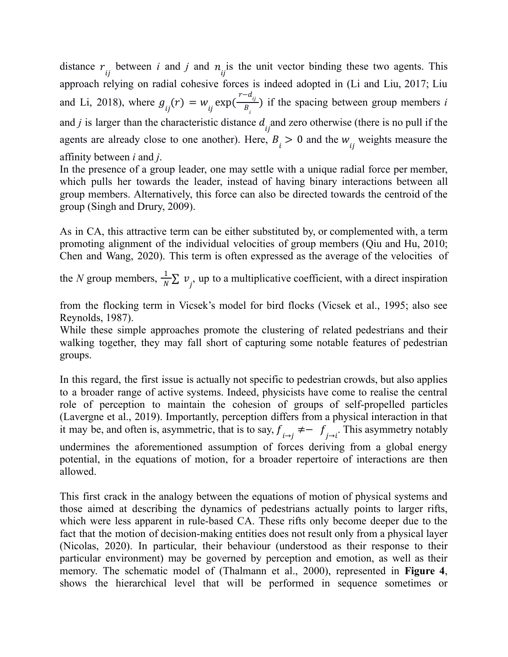distance  $r_{ij}$  between *i* and *j* and  $n_{ij}$  is the unit vector binding these two agents. This approach relying on radial cohesive forces is indeed adopted in (Li and Liu, 2017; Liu and Li, 2018), where  $g_{ij}(r) = w_{ij} \exp(\frac{r - d_{ij}}{B_i})$  if the spacing between group members *i*  $B_{i}$ ) and *j* is larger than the characteristic distance  $d_{ij}$  and zero otherwise (there is no pull if the agents are already close to one another). Here,  $B_i > 0$  and the  $w_{ij}$  weights measure the affinity between *i* and *j*.

In the presence of a group leader, one may settle with a unique radial force per member, which pulls her towards the leader, instead of having binary interactions between all group members. Alternatively, this force can also be directed towards the centroid of the group (Singh and Drury, 2009).

As in CA, this attractive term can be either substituted by, or complemented with, a term promoting alignment of the individual velocities of group members (Qiu and Hu, 2010; Chen and Wang, 2020). This term is often expressed as the average of the velocities of

the *N* group members,  $\frac{1}{N} \sum v_j$ , up to a multiplicative coefficient, with a direct inspiration

from the flocking term in Vicsek's model for bird flocks (Vicsek et al., 1995; also see Reynolds, 1987).

While these simple approaches promote the clustering of related pedestrians and their walking together, they may fall short of capturing some notable features of pedestrian groups.

In this regard, the first issue is actually not specific to pedestrian crowds, but also applies to a broader range of active systems. Indeed, physicists have come to realise the central role of perception to maintain the cohesion of groups of self-propelled particles (Lavergne et al., 2019). Importantly, perception differs from a physical interaction in that it may be, and often is, asymmetric, that is to say,  $f_{i \to j} \neq -f_{j \to i}$ . This asymmetry notably undermines the aforementioned assumption of forces deriving from a global energy potential, in the equations of motion, for a broader repertoire of interactions are then allowed.

This first crack in the analogy between the equations of motion of physical systems and those aimed at describing the dynamics of pedestrians actually points to larger rifts, which were less apparent in rule-based CA. These rifts only become deeper due to the fact that the motion of decision-making entities does not result only from a physical layer (Nicolas, 2020). In particular, their behaviour (understood as their response to their particular environment) may be governed by perception and emotion, as well as their memory. The schematic model of (Thalmann et al., 2000), represented in **Figure 4**, shows the [hierarchical](#page-31-0) level that will be performed in sequence sometimes or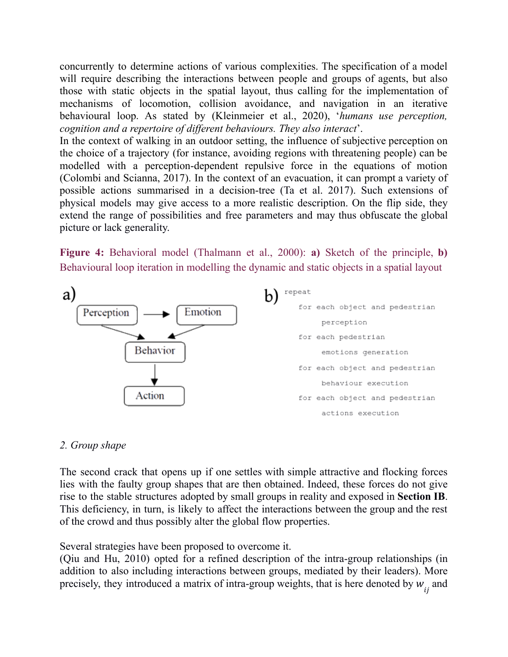concurrently to determine actions of various [complexities.](#page-31-0) The specification of a model will require describing the interactions between people and groups of agents, but also those with static objects in the spatial layout, thus calling for the implementation of mechanisms of locomotion, collision avoidance, and navigation in an iterative behavioural loop. As stated by (Kleinmeier et al., 2020), '*humans use perception, cognition and a repertoire of dif erent behaviours. They also interact*'.

In the context of walking in an outdoor setting, the influence of subjective perception on the choice of a trajectory (for instance, avoiding regions with threatening people) can be modelled with a perception-dependent repulsive force in the equations of motion (Colombi and Scianna, 2017). In the context of an evacuation, it can prompt a variety of possible actions summarised in a decision-tree (Ta et al. 2017). Such extensions of physical models may give access to a more realistic description. On the flip side, they extend the range of possibilities and free parameters and may thus obfuscate the global picture or lack generality.

**Figure 4:** Behavioral model (Thalmann et al., 2000): **a)** Sketch of the principle, **b)** Behavioural loop iteration in modelling the dynamic and static objects in a spatial layout



### *2. Group shape*

The second crack that opens up if one settles with simple attractive and flocking forces lies with the faulty group shapes that are then obtained. Indeed, these forces do not give rise to the stable structures adopted by small groups in reality and exposed in **Section IB**. This deficiency, in turn, is likely to affect the interactions between the group and the rest of the crowd and thus possibly alter the global flow properties.

Several strategies have been proposed to overcome it.

(Qiu and Hu, 2010) opted for a refined description of the intra-group relationships (in addition to also including interactions between groups, mediated by their leaders). More precisely, they introduced a matrix of intra-group weights, that is here denoted by  $w_{ij}$  and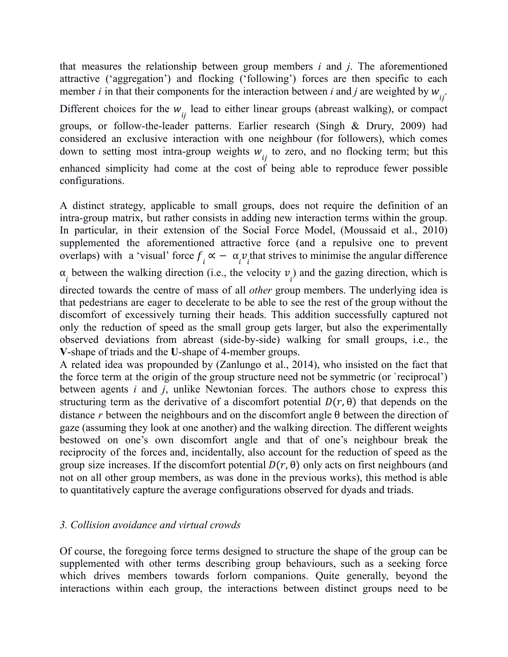that measures the relationship between group members *i* and *j*. The aforementioned attractive ('aggregation') and flocking ('following') forces are then specific to each member *i* in that their components for the interaction between *i* and *j* are weighted by  $w_{ij}$ . Different choices for the  $w_{ij}$  lead to either linear groups (abreast walking), or compact groups, or follow-the-leader patterns. Earlier research (Singh & Drury, 2009) had considered an exclusive interaction with one neighbour (for followers), which comes down to setting most intra-group weights  $w_{ij}$  to zero, and no flocking term; but this enhanced simplicity had come at the cost of being able to reproduce fewer possible configurations.

A distinct strategy, applicable to small groups, does not require the definition of an intra-group matrix, but rather consists in adding new interaction terms within the group. In particular, in their extension of the Social Force Model, (Moussaid et al., 2010) supplemented the aforementioned attractive force (and a repulsive one to prevent overlaps) with a 'visual' force  $f_i \propto -\alpha_i v_i$  that strives to minimise the angular difference  $\alpha_i$  between the walking direction (i.e., the velocity  $v_i$ ) and the gazing direction, which is directed towards the centre of mass of all *other* group members. The underlying idea is that pedestrians are eager to decelerate to be able to see the rest of the group without the discomfort of excessively turning their heads. This addition successfully captured not only the reduction of speed as the small group gets larger, but also the experimentally observed deviations from abreast (side-by-side) walking for small groups, i.e., the **V**-shape of triads and the **U**-shape of 4-member groups.

A related idea was propounded by (Zanlungo et al., 2014), who insisted on the fact that the force term at the origin of the group structure need not be symmetric (or `reciprocal') between agents *i* and *j*, unlike Newtonian forces. The authors chose to express this structuring term as the derivative of a discomfort potential  $D(r, \theta)$  that depends on the distance *r* between the neighbours and on the discomfort angle θ between the direction of gaze (assuming they look at one another) and the walking direction. The different weights bestowed on one's own discomfort angle and that of one's neighbour break the reciprocity of the forces and, incidentally, also account for the reduction of speed as the group size increases. If the discomfort potential  $D(r, \theta)$  only acts on first neighbours (and not on all other group members, as was done in the previous works), this method is able to quantitatively capture the average configurations observed for dyads and triads.

### *3. Collision avoidance and virtual crowds*

Of course, the foregoing force terms designed to structure the shape of the group can be supplemented with other terms describing group behaviours, such as a seeking force which drives members towards forlorn companions. Quite generally, beyond the interactions within each group, the interactions between distinct groups need to be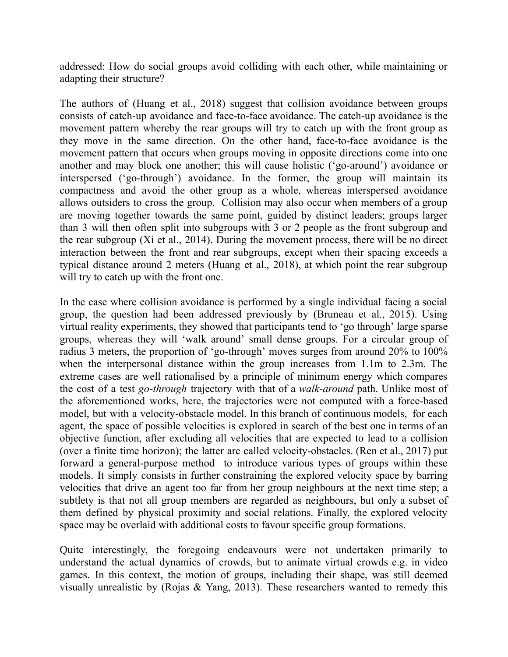addressed: How do social groups avoid colliding with each other, while maintaining or adapting their structure?

The authors of (Huang et al., 2018) suggest that collision [avoidance](#page-28-0) between groups consists of catch-up avoidance and [face-to-face](#page-28-0) avoidance. The catch-up avoidance is the [movement](#page-28-0) pattern whereby the rear groups will try to catch up with the front group as they move in the same direction. On the other hand, [face-to-face](#page-28-0) avoidance is the [movement](#page-28-0) pattern that occurs when groups moving in opposite directions come into one [another](#page-28-0) and may block one another; this will cause holistic [\('go-around'\)](#page-32-2) avoidance or interspersed [\('go-through'\)](#page-32-2) avoidance. In the former, the group will maintain its [compactness](#page-32-2) and avoid the other group as a whole, whereas interspersed avoidance allows [outsiders](#page-32-2) to cross the group. Collision may also occur when members of a group are moving together towards the same point, guided by distinct leaders; groups larger than 3 will then often split into [subgroups](#page-28-0) with 3 or 2 people as the front subgroup and the rear [subgroup](#page-28-0) (Xi et al., 2014). During the [movement](#page-31-1) process, there will be no direct interaction between the front and rear [subgroups,](#page-31-1) except when their spacing exceeds a typical [distance](#page-31-1) around 2 meters (Huang et al., 2018), at which point the rear [subgroup](#page-28-0) will try to [catch](#page-28-0) up with the front one.

In the case where collision avoidance is performed by a single individual facing a social group, the question had been addressed previously by (Bruneau et al., 2015). Using virtual reality experiments, they showed that participants tend to 'go through' large sparse groups, whereas they will 'walk around' small dense groups. For a circular group of radius 3 meters, the proportion of 'go-through' moves surges from around 20% to 100% when the interpersonal distance within the group increases from 1.1m to 2.3m. The extreme cases are well rationalised by a principle of minimum energy which compares the cost of a test *go-through* trajectory with that of a *walk-around* path. Unlike most of the aforementioned works, here, the trajectories were not computed with a force-based model, but with a velocity-obstacle model. In this branch of continuous models, for each agent, the space of possible velocities is explored in search of the best one in terms of an objective function, after excluding all velocities that are expected to lead to a collision (over a finite time horizon); the latter are called velocity-obstacles. (Ren et al., 2017) put forward a general-purpose method to introduce various types of groups within these models. It simply consists in further constraining the explored velocity space by barring velocities that drive an agent too far from her group neighbours at the next time step; a subtlety is that not all group members are regarded as neighbours, but only a subset of them defined by physical proximity and social relations. Finally, the explored velocity space may be overlaid with additional costs to favour specific group formations.

Quite interestingly, the foregoing endeavours were not undertaken primarily to understand the actual dynamics of crowds, but to animate virtual crowds e.g. in video games. In this context, the motion of groups, including their shape, was still deemed visually unrealistic by (Rojas & Yang, 2013). These researchers wanted to remedy this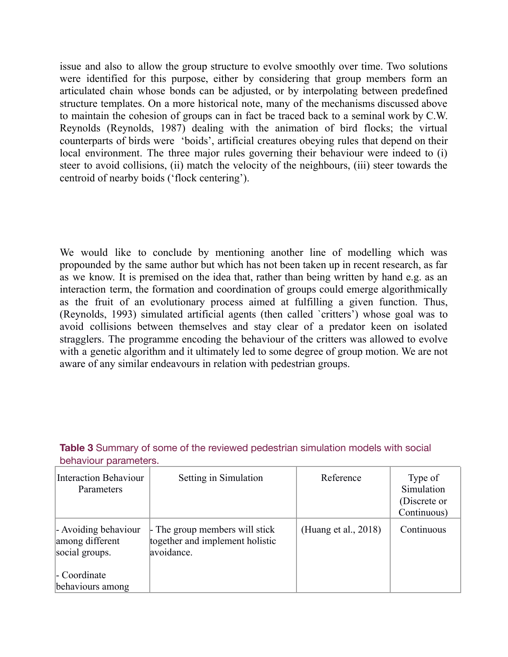issue and also to allow the group structure to evolve smoothly over time. Two solutions were identified for this purpose, either by considering that group members form an articulated chain whose bonds can be adjusted, or by interpolating between predefined structure templates. On a more historical note, many of the mechanisms discussed above to maintain the cohesion of groups can in fact be traced back to a seminal work by C.W. Reynolds (Reynolds, 1987) dealing with the animation of bird flocks; the virtual counterparts of birds were 'boids', artificial creatures obeying rules that depend on their local environment. The three major rules governing their behaviour were indeed to (i) steer to avoid collisions, (ii) match the velocity of the neighbours, (iii) steer towards the centroid of nearby boids ('flock centering').

We would like to conclude by mentioning another line of modelling which was propounded by the same author but which has not been taken up in recent research, as far as we know. It is premised on the idea that, rather than being written by hand e.g. as an interaction term, the formation and coordination of groups could emerge algorithmically as the fruit of an evolutionary process aimed at fulfilling a given function. Thus, (Reynolds, 1993) simulated artificial agents (then called `critters') whose goal was to avoid collisions between themselves and stay clear of a predator keen on isolated stragglers. The programme encoding the behaviour of the critters was allowed to evolve with a genetic algorithm and it ultimately led to some degree of group motion. We are not aware of any similar endeavours in relation with pedestrian groups.

| <b>Interaction Behaviour</b><br>Parameters                | Setting in Simulation                                                           | Reference            | Type of<br>Simulation<br>(Discrete or<br>Continuous) |
|-----------------------------------------------------------|---------------------------------------------------------------------------------|----------------------|------------------------------------------------------|
| - Avoiding behaviour<br>among different<br>social groups. | - The group members will stick<br>together and implement holistic<br>avoidance. | (Huang et al., 2018) | Continuous                                           |
| - Coordinate<br>behaviours among                          |                                                                                 |                      |                                                      |

**Table 3** Summary of some of the reviewed pedestrian simulation models with social behaviour parameters.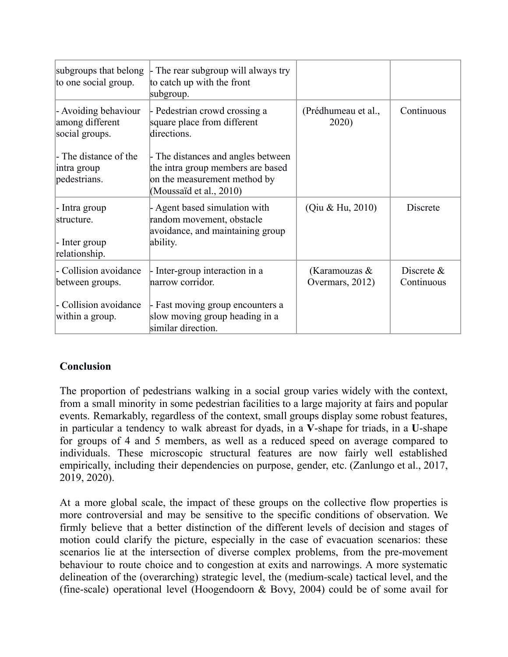| subgroups that belong<br>to one social group.                 | $\vert$ - The rear subgroup will always try<br>to catch up with the front<br>subgroup.                                             |                                  |                             |
|---------------------------------------------------------------|------------------------------------------------------------------------------------------------------------------------------------|----------------------------------|-----------------------------|
| - Avoiding behaviour<br>among different<br>social groups.     | - Pedestrian crowd crossing a<br>square place from different<br>directions.                                                        | (Prédhumeau et al.,<br>2020)     | Continuous                  |
| - The distance of the<br>intra group<br>pedestrians.          | - The distances and angles between<br>the intra group members are based<br>on the measurement method by<br>(Moussaïd et al., 2010) |                                  |                             |
| - Intra group<br>structure.<br>- Inter group<br>relationship. | - Agent based simulation with<br>random movement, obstacle<br>avoidance, and maintaining group<br>ability.                         | (Qiu & Hu, 2010)                 | Discrete                    |
| - Collision avoidance<br>between groups.                      | - Inter-group interaction in a<br>narrow corridor.                                                                                 | (Karamouzas &<br>Overmars, 2012) | Discrete $\&$<br>Continuous |
| - Collision avoidance<br>within a group.                      | - Fast moving group encounters a<br>slow moving group heading in a<br>similar direction.                                           |                                  |                             |

## **Conclusion**

The proportion of pedestrians walking in a social group varies widely with the context, from a small minority in some pedestrian facilities to a large majority at fairs and popular events. Remarkably, regardless of the context, small groups display some robust features, in particular a tendency to walk abreast for dyads, in a **V**-shape for triads, in a **U**-shape for groups of 4 and 5 members, as well as a reduced speed on average compared to individuals. These microscopic structural features are now fairly well established empirically, including their dependencies on purpose, gender, etc. (Zanlungo et al., 2017, 2019, 2020).

At a more global scale, the impact of these groups on the collective flow properties is more controversial and may be sensitive to the specific conditions of observation. We firmly believe that a better distinction of the different levels of decision and stages of motion could clarify the picture, especially in the case of evacuation scenarios: these scenarios lie at the intersection of diverse complex problems, from the pre-movement behaviour to route choice and to congestion at exits and narrowings. A more systematic delineation of the (overarching) strategic level, the (medium-scale) tactical level, and the (fine-scale) operational level (Hoogendoorn & Bovy, 2004) could be of some avail for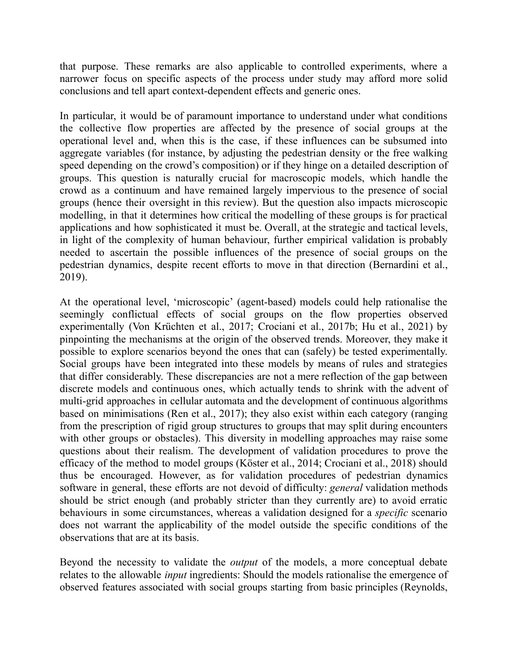that purpose. These remarks are also applicable to controlled experiments, where a narrower focus on specific aspects of the process under study may afford more solid conclusions and tell apart context-dependent effects and generic ones.

In particular, it would be of paramount importance to understand under what conditions the collective flow properties are affected by the presence of social groups at the operational level and, when this is the case, if these influences can be subsumed into aggregate variables (for instance, by adjusting the pedestrian density or the free walking speed depending on the crowd's composition) or if they hinge on a detailed description of groups. This question is naturally crucial for macroscopic models, which handle the crowd as a continuum and have remained largely impervious to the presence of social groups (hence their oversight in this review). But the question also impacts microscopic modelling, in that it determines how critical the modelling of these groups is for practical applications and how sophisticated it must be. Overall, at the strategic and tactical levels, in light of the complexity of human behaviour, further empirical validation is probably needed to ascertain the possible influences of the presence of social groups on the pedestrian dynamics, despite recent efforts to move in that direction (Bernardini et al., 2019).

At the operational level, 'microscopic' (agent-based) models could help rationalise the seemingly conflictual effects of social groups on the flow properties observed experimentally (Von Krüchten et al., 2017; Crociani et al., 2017b; Hu et al., 2021) by pinpointing the mechanisms at the origin of the observed trends. Moreover, they make it possible to explore scenarios beyond the ones that can (safely) be tested experimentally. Social groups have been integrated into these models by means of rules and strategies that differ considerably. These discrepancies are not a mere reflection of the gap between discrete models and continuous ones, which actually tends to shrink with the advent of multi-grid approaches in cellular automata and the development of continuous algorithms based on minimisations (Ren et al., 2017); they also exist within each category (ranging from the prescription of rigid group structures to groups that may split during encounters with other groups or obstacles). This diversity in modelling approaches may raise some questions about their realism. The development of validation procedures to prove the efficacy of the method to model groups (Köster et al., 2014; Crociani et al., 2018) should thus be encouraged. However, as for validation procedures of pedestrian dynamics software in general, these efforts are not devoid of difficulty: *general* validation methods should be strict enough (and probably stricter than they currently are) to avoid erratic behaviours in some circumstances, whereas a validation designed for a *specific* scenario does not warrant the applicability of the model outside the specific conditions of the observations that are at its basis.

Beyond the necessity to validate the *output* of the models, a more conceptual debate relates to the allowable *input* ingredients: Should the models rationalise the emergence of observed features associated with social groups starting from basic principles (Reynolds,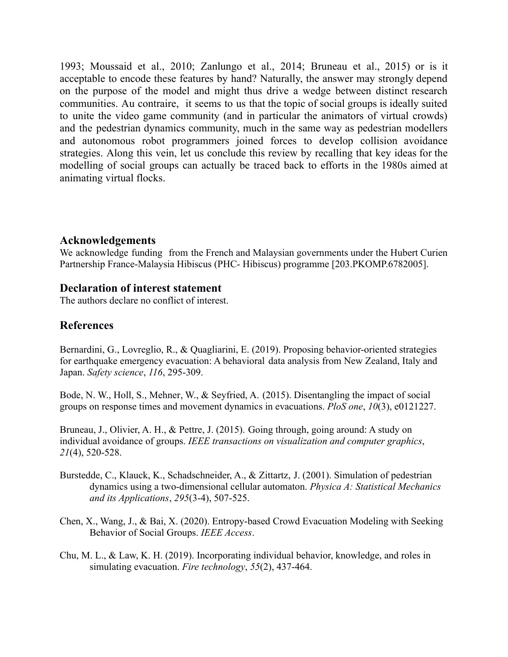1993; Moussaid et al., 2010; Zanlungo et al., 2014; Bruneau et al., 2015) or is it acceptable to encode these features by hand? Naturally, the answer may strongly depend on the purpose of the model and might thus drive a wedge between distinct research communities. Au contraire, it seems to us that the topic of social groups is ideally suited to unite the video game community (and in particular the animators of virtual crowds) and the pedestrian dynamics community, much in the same way as pedestrian modellers and autonomous robot programmers joined forces to develop collision avoidance strategies. Along this vein, let us conclude this review by recalling that key ideas for the modelling of social groups can actually be traced back to efforts in the 1980s aimed at animating virtual flocks.

### **Acknowledgements**

We acknowledge funding from the French and Malaysian governments under the Hubert Curien Partnership France-Malaysia Hibiscus (PHC- Hibiscus) programme [203.PKOMP.6782005].

### **Declaration of interest statement**

The authors declare no conflict of interest.

## **References**

Bernardini, G., Lovreglio, R., & Quagliarini, E. (2019). Proposing behavior-oriented strategies for earthquake emergency evacuation: A behavioral data analysis from New Zealand, Italy and Japan. *Safety science*, *116*, 295-309.

Bode, N. W., Holl, S., Mehner, W., & Seyfried, A. (2015). Disentangling the impact of social groups on response times and movement dynamics in evacuations. *PloS one*, *10*(3), e0121227.

Bruneau, J., Olivier, A. H., & Pettre, J. (2015). Going through, going around: A study on individual avoidance of groups. *IEEE transactions on visualization and computer graphics*, *21*(4), 520-528.

- Burstedde, C., Klauck, K., Schadschneider, A., & Zittartz, J. (2001). Simulation of pedestrian dynamics using a two-dimensional cellular automaton. *Physica A: Statistical Mechanics and its Applications*, *295*(3-4), 507-525.
- Chen, X., Wang, J., & Bai, X. (2020). Entropy-based Crowd Evacuation Modeling with Seeking Behavior of Social Groups. *IEEE Access*.
- Chu, M. L., & Law, K. H. (2019). Incorporating individual behavior, knowledge, and roles in simulating evacuation. *Fire technology*, *55*(2), 437-464.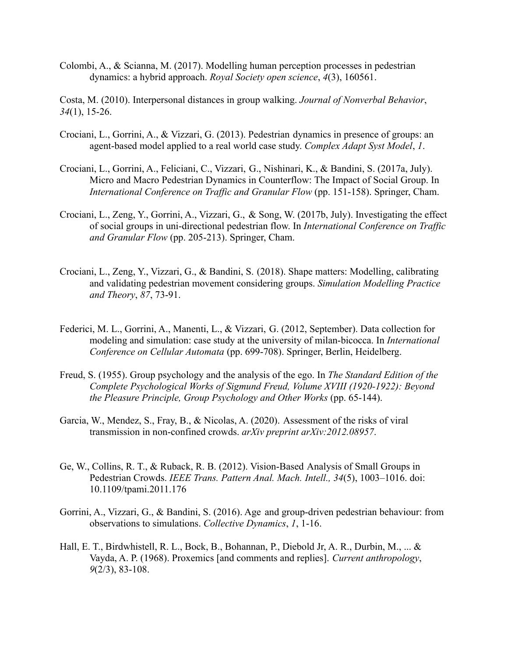Colombi, A., & Scianna, M. (2017). Modelling human perception processes in pedestrian dynamics: a hybrid approach. *Royal Society open science*, *4*(3), 160561.

Costa, M. (2010). Interpersonal distances in group walking. *Journal of Nonverbal Behavior*, *34*(1), 15-26.

- Crociani, L., Gorrini, A., & Vizzari, G. (2013). Pedestrian dynamics in presence of groups: an agent-based model applied to a real world case study. *Complex Adapt Syst Model*, *1*.
- Crociani, L., Gorrini, A., Feliciani, C., Vizzari, G., Nishinari, K., & Bandini, S. (2017a, July). Micro and Macro Pedestrian Dynamics in Counterflow: The Impact of Social Group. In *International Conference on Traffic and Granular Flow* (pp. 151-158). Springer, Cham.
- Crociani, L., Zeng, Y., Gorrini, A., Vizzari, G., & Song, W. (2017b, July). Investigating the effect of social groups in uni-directional pedestrian flow. In *International Conference on Traffic and Granular Flow* (pp. 205-213). Springer, Cham.
- Crociani, L., Zeng, Y., Vizzari, G., & Bandini, S. (2018). Shape matters: Modelling, calibrating and validating pedestrian movement considering groups. *Simulation Modelling Practice and Theory*, *87*, 73-91.
- Federici, M. L., Gorrini, A., Manenti, L., & Vizzari, G. (2012, September). Data collection for modeling and simulation: case study at the university of milan-bicocca. In *International Conference on Cellular Automata* (pp. 699-708). Springer, Berlin, Heidelberg.
- Freud, S. (1955). Group psychology and the analysis of the ego. In *The Standard Edition of the Complete Psychological Works of Sigmund Freud, Volume XVIII (1920-1922): Beyond the Pleasure Principle, Group Psychology and Other Works* (pp. 65-144).
- Garcia, W., Mendez, S., Fray, B., & Nicolas, A. (2020). Assessment of the risks of viral transmission in non-confined crowds. *arXiv preprint arXiv:2012.08957*.
- Ge, W., Collins, R. T., & Ruback, R. B. (2012). Vision-Based Analysis of Small Groups in Pedestrian Crowds. *IEEE Trans. Pattern Anal. Mach. Intell., 34*(5), 1003–1016. doi: 10.1109/tpami.2011.176
- Gorrini, A., Vizzari, G., & Bandini, S. (2016). Age and group-driven pedestrian behaviour: from observations to simulations. *Collective Dynamics*, *1*, 1-16.
- Hall, E. T., Birdwhistell, R. L., Bock, B., Bohannan, P., Diebold Jr, A. R., Durbin, M., ... & Vayda, A. P. (1968). Proxemics [and comments and replies]. *Current anthropology*, *9*(2/3), 83-108.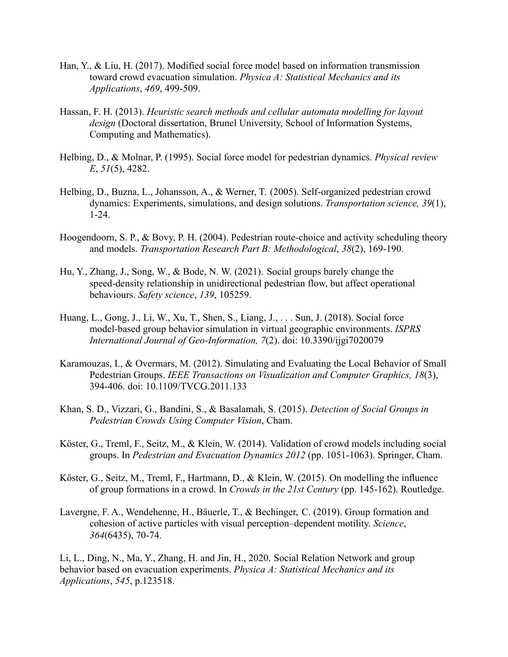- Han, Y., & Liu, H. (2017). Modified social force model based on information transmission toward crowd evacuation simulation. *Physica A: Statistical Mechanics and its Applications*, *469*, 499-509.
- Hassan, F. H. (2013). *Heuristic search methods and cellular automata modelling for layout design* (Doctoral dissertation, Brunel University, School of Information Systems, Computing and Mathematics).
- Helbing, D., & Molnar, P. (1995). Social force model for pedestrian dynamics. *Physical review E*, *51*(5), 4282.
- Helbing, D., Buzna, L., Johansson, A., & Werner, T. (2005). Self-organized pedestrian crowd dynamics: Experiments, simulations, and design solutions. *Transportation science, 39*(1), 1-24.
- Hoogendoorn, S. P., & Bovy, P. H. (2004). Pedestrian route-choice and activity scheduling theory and models. *Transportation Research Part B: Methodological*, *38*(2), 169-190.
- Hu, Y., Zhang, J., Song, W., & Bode, N. W. (2021). Social groups barely change the speed-density relationship in unidirectional pedestrian flow, but affect operational behaviours. *Safety science*, *139*, 105259.
- Huang, L., Gong, J., Li, W., Xu, T., Shen, S., Liang, J., . . . Sun, J. (2018). Social force model-based group behavior simulation in virtual geographic environments. *ISPRS International Journal of Geo-Information, 7*(2). doi: 10.3390/ijgi7020079
- <span id="page-28-0"></span>Karamouzas, I., & Overmars, M. (2012). Simulating and Evaluating the Local Behavior of Small Pedestrian Groups. *IEEE Transactions on Visualization and Computer Graphics, 18*(3), 394-406. doi: 10.1109/TVCG.2011.133
- Khan, S. D., Vizzari, G., Bandini, S., & Basalamah, S. (2015). *Detection of Social Groups in Pedestrian Crowds Using Computer Vision*, Cham.
- Köster, G., Treml, F., Seitz, M., & Klein, W. (2014). Validation of crowd models including social groups. In *Pedestrian and Evacuation Dynamics 2012* (pp. 1051-1063). Springer, Cham.
- Köster, G., Seitz, M., Treml, F., Hartmann, D., & Klein, W. (2015). On modelling the influence of group formations in a crowd. In *Crowds in the 21st Century* (pp. 145-162). Routledge.

Lavergne, F. A., Wendehenne, H., Bäuerle, T., & Bechinger, C. (2019). Group formation and cohesion of active particles with visual perception–dependent motility. *Science*, *364*(6435), 70-74.

Li, L., Ding, N., Ma, Y., Zhang, H. and Jin, H., 2020. Social Relation Network and group behavior based on evacuation experiments. *Physica A: Statistical Mechanics and its Applications*, *545*, p.123518.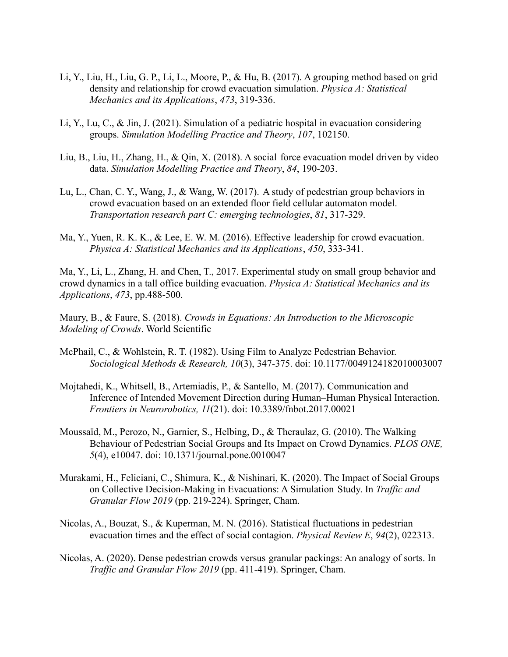- Li, Y., Liu, H., Liu, G. P., Li, L., Moore, P., & Hu, B. (2017). A grouping method based on grid density and relationship for crowd evacuation simulation. *Physica A: Statistical Mechanics and its Applications*, *473*, 319-336.
- Li, Y., Lu, C., & Jin, J. (2021). Simulation of a pediatric hospital in evacuation considering groups. *Simulation Modelling Practice and Theory*, *107*, 102150.
- Liu, B., Liu, H., Zhang, H., & Qin, X. (2018). A social force evacuation model driven by video data. *Simulation Modelling Practice and Theory*, *84*, 190-203.
- Lu, L., Chan, C. Y., Wang, J., & Wang, W. (2017). A study of pedestrian group behaviors in crowd evacuation based on an extended floor field cellular automaton model. *Transportation research part C: emerging technologies*, *81*, 317-329.
- Ma, Y., Yuen, R. K. K., & Lee, E. W. M. (2016). Effective leadership for crowd evacuation. *Physica A: Statistical Mechanics and its Applications*, *450*, 333-341.

Ma, Y., Li, L., Zhang, H. and Chen, T., 2017. Experimental study on small group behavior and crowd dynamics in a tall office building evacuation. *Physica A: Statistical Mechanics and its Applications*, *473*, pp.488-500.

Maury, B., & Faure, S. (2018). *Crowds in Equations: An Introduction to the Microscopic Modeling of Crowds*. World Scientific

- McPhail, C., & Wohlstein, R. T. (1982). Using Film to Analyze Pedestrian Behavior. *Sociological Methods & Research, 10*(3), 347-375. doi: 10.1177/0049124182010003007
- Mojtahedi, K., Whitsell, B., Artemiadis, P., & Santello, M. (2017). Communication and Inference of Intended Movement Direction during Human–Human Physical Interaction. *Frontiers in Neurorobotics, 11*(21). doi: 10.3389/fnbot.2017.00021
- Moussaïd, M., Perozo, N., Garnier, S., Helbing, D., & Theraulaz, G. (2010). The Walking Behaviour of Pedestrian Social Groups and Its Impact on Crowd Dynamics. *PLOS ONE, 5*(4), e10047. doi: 10.1371/journal.pone.0010047
- Murakami, H., Feliciani, C., Shimura, K., & Nishinari, K. (2020). The Impact of Social Groups on Collective Decision-Making in Evacuations: A Simulation Study. In *Traffic and Granular Flow 2019* (pp. 219-224). Springer, Cham.
- Nicolas, A., Bouzat, S., & Kuperman, M. N. (2016). Statistical fluctuations in pedestrian evacuation times and the effect of social contagion. *Physical Review E*, *94*(2), 022313.
- <span id="page-29-0"></span>Nicolas, A. (2020). Dense pedestrian crowds versus granular packings: An analogy of sorts. In *Traffic and Granular Flow 2019* (pp. 411-419). Springer, Cham.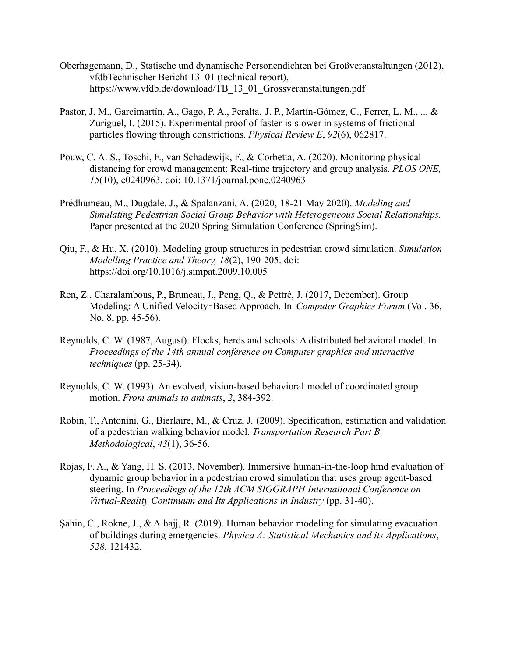- Oberhagemann, D., Statische und dynamische Personendichten bei Großveranstaltungen (2012), vfdbTechnischer Bericht 13–01 (technical report), https://www.vfdb.de/download/TB\_13\_01\_Grossveranstaltungen.pdf
- Pastor, J. M., Garcimartín, A., Gago, P. A., Peralta, J. P., Martín-Gómez, C., Ferrer, L. M., ... & Zuriguel, I. (2015). Experimental proof of faster-is-slower in systems of frictional particles flowing through constrictions. *Physical Review E*, *92*(6), 062817.
- Pouw, C. A. S., Toschi, F., van Schadewijk, F., & Corbetta, A. (2020). Monitoring physical distancing for crowd management: Real-time trajectory and group analysis. *PLOS ONE, 15*(10), e0240963. doi: 10.1371/journal.pone.0240963
- Prédhumeau, M., Dugdale, J., & Spalanzani, A. (2020, 18-21 May 2020). *Modeling and Simulating Pedestrian Social Group Behavior with Heterogeneous Social Relationships.* Paper presented at the 2020 Spring Simulation Conference (SpringSim).
- Qiu, F., & Hu, X. (2010). Modeling group structures in pedestrian crowd simulation. *Simulation Modelling Practice and Theory, 18*(2), 190-205. doi: <https://doi.org/10.1016/j.simpat.2009.10.005>
- Ren, Z., Charalambous, P., Bruneau, J., Peng, Q., & Pettré, J. (2017, December). Group Modeling: A Unified Velocity‐Based Approach. In *Computer Graphics Forum* (Vol. 36, No. 8, pp. 45-56).
- Reynolds, C. W. (1987, August). Flocks, herds and schools: A distributed behavioral model. In *Proceedings of the 14th annual conference on Computer graphics and interactive techniques* (pp. 25-34).
- Reynolds, C. W. (1993). An evolved, vision-based behavioral model of coordinated group motion. *From animals to animats*, *2*, 384-392.
- Robin, T., Antonini, G., Bierlaire, M., & Cruz, J. (2009). Specification, estimation and validation of a pedestrian walking behavior model. *Transportation Research Part B: Methodological*, *43*(1), 36-56.
- Rojas, F. A., & Yang, H. S. (2013, November). Immersive human-in-the-loop hmd evaluation of dynamic group behavior in a pedestrian crowd simulation that uses group agent-based steering. In *Proceedings of the 12th ACM SIGGRAPH International Conference on Virtual-Reality Continuum and Its Applications in Industry* (pp. 31-40).
- Şahin, C., Rokne, J., & Alhajj, R. (2019). Human behavior modeling for simulating evacuation of buildings during emergencies. *Physica A: Statistical Mechanics and its Applications*, *528*, 121432.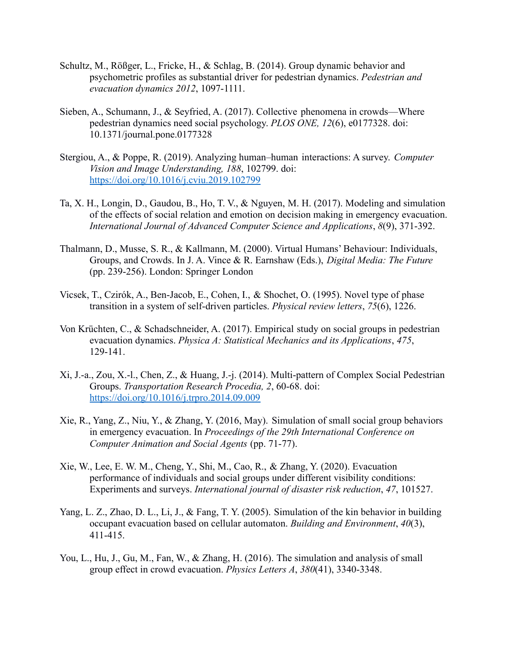- Schultz, M., Rößger, L., Fricke, H., & Schlag, B. (2014). Group dynamic behavior and psychometric profiles as substantial driver for pedestrian dynamics. *Pedestrian and evacuation dynamics 2012*, 1097-1111.
- Sieben, A., Schumann, J., & Seyfried, A. (2017). Collective phenomena in crowds—Where pedestrian dynamics need social psychology. *PLOS ONE, 12*(6), e0177328. doi: 10.1371/journal.pone.0177328
- Stergiou, A., & Poppe, R. (2019). Analyzing human–human interactions: A survey. *Computer Vision and Image Understanding, 188*, 102799. doi: <https://doi.org/10.1016/j.cviu.2019.102799>
- Ta, X. H., Longin, D., Gaudou, B., Ho, T. V., & Nguyen, M. H. (2017). Modeling and simulation of the effects of social relation and emotion on decision making in emergency evacuation. *International Journal of Advanced Computer Science and Applications*, *8*(9), 371-392.
- Thalmann, D., Musse, S. R., & Kallmann, M. (2000). Virtual Humans' Behaviour: Individuals, Groups, and Crowds. In J. A. Vince & R. Earnshaw (Eds.), *Digital Media: The Future* (pp. 239-256). London: Springer London
- <span id="page-31-0"></span>Vicsek, T., Czirók, A., Ben-Jacob, E., Cohen, I., & Shochet, O. (1995). Novel type of phase transition in a system of self-driven particles. *Physical review letters*, *75*(6), 1226.
- Von Krüchten, C., & Schadschneider, A. (2017). Empirical study on social groups in pedestrian evacuation dynamics. *Physica A: Statistical Mechanics and its Applications*, *475*, 129-141.
- Xi, J.-a., Zou, X.-l., Chen, Z., & Huang, J.-j. (2014). Multi-pattern of Complex Social Pedestrian Groups. *Transportation Research Procedia, 2*, 60-68. doi: <https://doi.org/10.1016/j.trpro.2014.09.009>
- Xie, R., Yang, Z., Niu, Y., & Zhang, Y. (2016, May). Simulation of small social group behaviors in emergency evacuation. In *Proceedings of the 29th International Conference on Computer Animation and Social Agents* (pp. 71-77).
- Xie, W., Lee, E. W. M., Cheng, Y., Shi, M., Cao, R., & Zhang, Y. (2020). Evacuation performance of individuals and social groups under different visibility conditions: Experiments and surveys. *International journal of disaster risk reduction*, *47*, 101527.
- Yang, L. Z., Zhao, D. L., Li, J., & Fang, T. Y. (2005). Simulation of the kin behavior in building occupant evacuation based on cellular automaton. *Building and Environment*, *40*(3), 411-415.
- <span id="page-31-1"></span>You, L., Hu, J., Gu, M., Fan, W., & Zhang, H. (2016). The simulation and analysis of small group effect in crowd evacuation. *Physics Letters A*, *380*(41), 3340-3348.